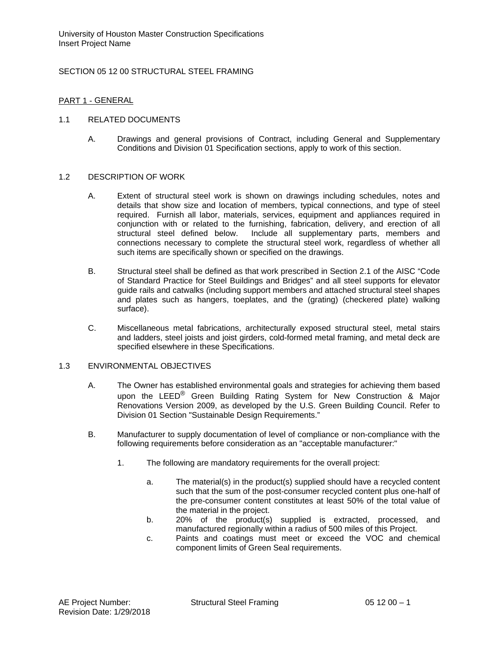# SECTION 05 12 00 STRUCTURAL STEEL FRAMING

# PART 1 - GENERAL

## 1.1 RELATED DOCUMENTS

A. Drawings and general provisions of Contract, including General and Supplementary Conditions and Division 01 Specification sections, apply to work of this section.

## 1.2 DESCRIPTION OF WORK

- A. Extent of structural steel work is shown on drawings including schedules, notes and details that show size and location of members, typical connections, and type of steel required. Furnish all labor, materials, services, equipment and appliances required in conjunction with or related to the furnishing, fabrication, delivery, and erection of all structural steel defined below. Include all supplementary parts, members and Include all supplementary parts, members and connections necessary to complete the structural steel work, regardless of whether all such items are specifically shown or specified on the drawings.
- B. Structural steel shall be defined as that work prescribed in Section 2.1 of the AISC "Code of Standard Practice for Steel Buildings and Bridges" and all steel supports for elevator guide rails and catwalks (including support members and attached structural steel shapes and plates such as hangers, toeplates, and the (grating) (checkered plate) walking surface).
- C. Miscellaneous metal fabrications, architecturally exposed structural steel, metal stairs and ladders, steel joists and joist girders, cold-formed metal framing, and metal deck are specified elsewhere in these Specifications.

## 1.3 ENVIRONMENTAL OBJECTIVES

- A. The Owner has established environmental goals and strategies for achieving them based upon the LEED<sup>®</sup> Green Building Rating System for New Construction & Major Renovations Version 2009, as developed by the U.S. Green Building Council. Refer to Division 01 Section "Sustainable Design Requirements."
- B. Manufacturer to supply documentation of level of compliance or non-compliance with the following requirements before consideration as an "acceptable manufacturer:"
	- 1. The following are mandatory requirements for the overall project:
		- a. The material(s) in the product(s) supplied should have a recycled content such that the sum of the post-consumer recycled content plus one-half of the pre-consumer content constitutes at least 50% of the total value of the material in the project.
		- b. 20% of the product(s) supplied is extracted, processed, and manufactured regionally within a radius of 500 miles of this Project.
		- c. Paints and coatings must meet or exceed the VOC and chemical component limits of Green Seal requirements.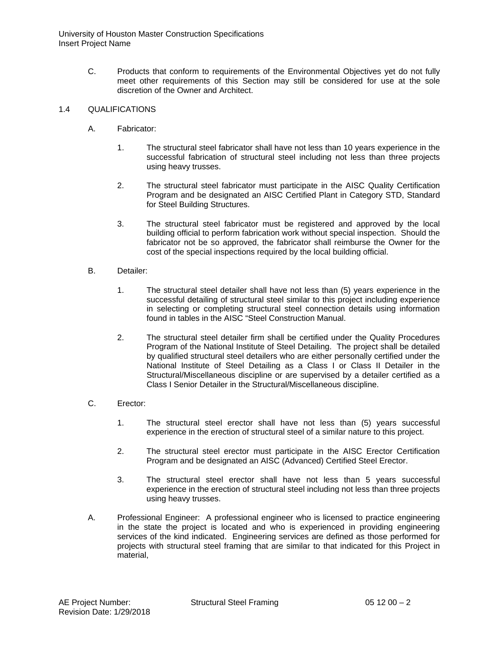C. Products that conform to requirements of the Environmental Objectives yet do not fully meet other requirements of this Section may still be considered for use at the sole discretion of the Owner and Architect.

# 1.4 QUALIFICATIONS

- A. Fabricator:
	- 1. The structural steel fabricator shall have not less than 10 years experience in the successful fabrication of structural steel including not less than three projects using heavy trusses.
	- 2. The structural steel fabricator must participate in the AISC Quality Certification Program and be designated an AISC Certified Plant in Category STD, Standard for Steel Building Structures.
	- 3. The structural steel fabricator must be registered and approved by the local building official to perform fabrication work without special inspection. Should the fabricator not be so approved, the fabricator shall reimburse the Owner for the cost of the special inspections required by the local building official.
- B. Detailer:
	- 1. The structural steel detailer shall have not less than (5) years experience in the successful detailing of structural steel similar to this project including experience in selecting or completing structural steel connection details using information found in tables in the AISC "Steel Construction Manual.
	- 2. The structural steel detailer firm shall be certified under the Quality Procedures Program of the National Institute of Steel Detailing. The project shall be detailed by qualified structural steel detailers who are either personally certified under the National Institute of Steel Detailing as a Class I or Class II Detailer in the Structural/Miscellaneous discipline or are supervised by a detailer certified as a Class I Senior Detailer in the Structural/Miscellaneous discipline.
- C. Erector:
	- 1. The structural steel erector shall have not less than (5) years successful experience in the erection of structural steel of a similar nature to this project.
	- 2. The structural steel erector must participate in the AISC Erector Certification Program and be designated an AISC (Advanced) Certified Steel Erector.
	- 3. The structural steel erector shall have not less than 5 years successful experience in the erection of structural steel including not less than three projects using heavy trusses.
- A. Professional Engineer: A professional engineer who is licensed to practice engineering in the state the project is located and who is experienced in providing engineering services of the kind indicated. Engineering services are defined as those performed for projects with structural steel framing that are similar to that indicated for this Project in material,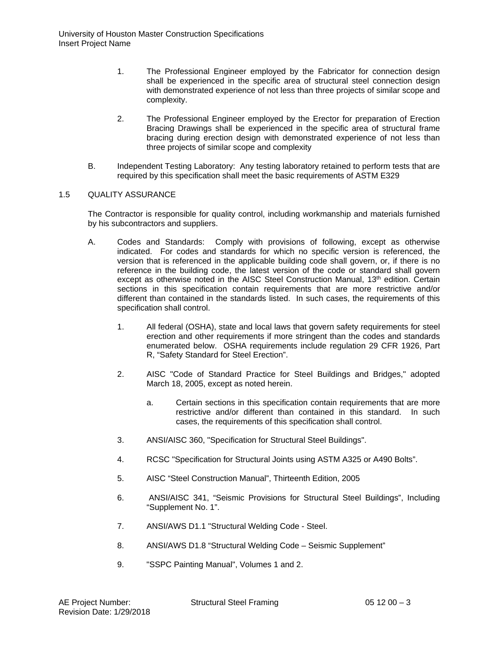- 1. The Professional Engineer employed by the Fabricator for connection design shall be experienced in the specific area of structural steel connection design with demonstrated experience of not less than three projects of similar scope and complexity.
- 2. The Professional Engineer employed by the Erector for preparation of Erection Bracing Drawings shall be experienced in the specific area of structural frame bracing during erection design with demonstrated experience of not less than three projects of similar scope and complexity
- B. Independent Testing Laboratory: Any testing laboratory retained to perform tests that are required by this specification shall meet the basic requirements of ASTM E329

## 1.5 QUALITY ASSURANCE

The Contractor is responsible for quality control, including workmanship and materials furnished by his subcontractors and suppliers.

- A. Codes and Standards: Comply with provisions of following, except as otherwise indicated. For codes and standards for which no specific version is referenced, the version that is referenced in the applicable building code shall govern, or, if there is no reference in the building code, the latest version of the code or standard shall govern except as otherwise noted in the AISC Steel Construction Manual, 13<sup>th</sup> edition. Certain sections in this specification contain requirements that are more restrictive and/or different than contained in the standards listed. In such cases, the requirements of this specification shall control.
	- 1. All federal (OSHA), state and local laws that govern safety requirements for steel erection and other requirements if more stringent than the codes and standards enumerated below. OSHA requirements include regulation 29 CFR 1926, Part R, "Safety Standard for Steel Erection".
	- 2. AISC "Code of Standard Practice for Steel Buildings and Bridges," adopted March 18, 2005, except as noted herein.
		- a. Certain sections in this specification contain requirements that are more restrictive and/or different than contained in this standard. In such cases, the requirements of this specification shall control.
	- 3. ANSI/AISC 360, "Specification for Structural Steel Buildings".
	- 4. RCSC "Specification for Structural Joints using ASTM A325 or A490 Bolts".
	- 5. AISC "Steel Construction Manual", Thirteenth Edition, 2005
	- 6. ANSI/AISC 341, "Seismic Provisions for Structural Steel Buildings", Including "Supplement No. 1".
	- 7. ANSI/AWS D1.1 "Structural Welding Code Steel.
	- 8. ANSI/AWS D1.8 "Structural Welding Code Seismic Supplement"
	- 9. "SSPC Painting Manual", Volumes 1 and 2.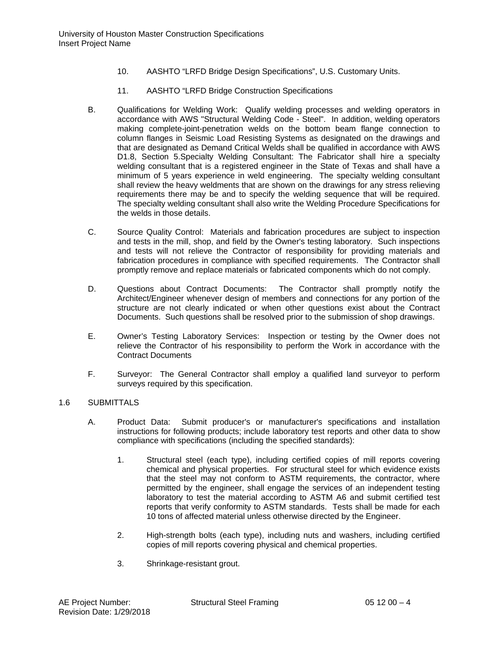- 10. AASHTO "LRFD Bridge Design Specifications", U.S. Customary Units.
- 11. AASHTO "LRFD Bridge Construction Specifications
- B. Qualifications for Welding Work: Qualify welding processes and welding operators in accordance with AWS "Structural Welding Code - Steel". In addition, welding operators making complete-joint-penetration welds on the bottom beam flange connection to column flanges in Seismic Load Resisting Systems as designated on the drawings and that are designated as Demand Critical Welds shall be qualified in accordance with AWS D1.8, Section 5.Specialty Welding Consultant: The Fabricator shall hire a specialty welding consultant that is a registered engineer in the State of Texas and shall have a minimum of 5 years experience in weld engineering. The specialty welding consultant shall review the heavy weldments that are shown on the drawings for any stress relieving requirements there may be and to specify the welding sequence that will be required. The specialty welding consultant shall also write the Welding Procedure Specifications for the welds in those details.
- C. Source Quality Control: Materials and fabrication procedures are subject to inspection and tests in the mill, shop, and field by the Owner's testing laboratory. Such inspections and tests will not relieve the Contractor of responsibility for providing materials and fabrication procedures in compliance with specified requirements. The Contractor shall promptly remove and replace materials or fabricated components which do not comply.
- D. Questions about Contract Documents: The Contractor shall promptly notify the Architect/Engineer whenever design of members and connections for any portion of the structure are not clearly indicated or when other questions exist about the Contract Documents. Such questions shall be resolved prior to the submission of shop drawings.
- E. Owner's Testing Laboratory Services: Inspection or testing by the Owner does not relieve the Contractor of his responsibility to perform the Work in accordance with the Contract Documents
- F. Surveyor: The General Contractor shall employ a qualified land surveyor to perform surveys required by this specification.

# 1.6 SUBMITTALS

- A. Product Data: Submit producer's or manufacturer's specifications and installation instructions for following products; include laboratory test reports and other data to show compliance with specifications (including the specified standards):
	- 1. Structural steel (each type), including certified copies of mill reports covering chemical and physical properties. For structural steel for which evidence exists that the steel may not conform to ASTM requirements, the contractor, where permitted by the engineer, shall engage the services of an independent testing laboratory to test the material according to ASTM A6 and submit certified test reports that verify conformity to ASTM standards. Tests shall be made for each 10 tons of affected material unless otherwise directed by the Engineer.
	- 2. High-strength bolts (each type), including nuts and washers, including certified copies of mill reports covering physical and chemical properties.
	- 3. Shrinkage-resistant grout.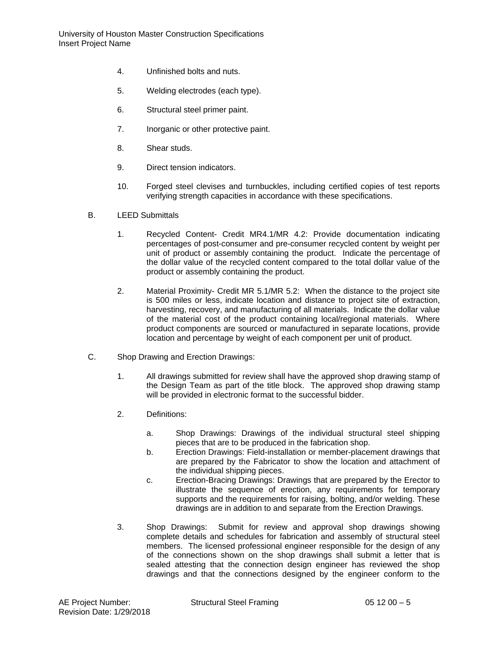- 4. Unfinished bolts and nuts.
- 5. Welding electrodes (each type).
- 6. Structural steel primer paint.
- 7. Inorganic or other protective paint.
- 8. Shear studs.
- 9. Direct tension indicators.
- 10. Forged steel clevises and turnbuckles, including certified copies of test reports verifying strength capacities in accordance with these specifications.
- B. LEED Submittals
	- 1. Recycled Content- Credit MR4.1/MR 4.2: Provide documentation indicating percentages of post-consumer and pre-consumer recycled content by weight per unit of product or assembly containing the product. Indicate the percentage of the dollar value of the recycled content compared to the total dollar value of the product or assembly containing the product.
	- 2. Material Proximity- Credit MR 5.1/MR 5.2: When the distance to the project site is 500 miles or less, indicate location and distance to project site of extraction, harvesting, recovery, and manufacturing of all materials. Indicate the dollar value of the material cost of the product containing local/regional materials. Where product components are sourced or manufactured in separate locations, provide location and percentage by weight of each component per unit of product.
- C. Shop Drawing and Erection Drawings:
	- 1. All drawings submitted for review shall have the approved shop drawing stamp of the Design Team as part of the title block. The approved shop drawing stamp will be provided in electronic format to the successful bidder.
	- 2. Definitions:
		- a. Shop Drawings: Drawings of the individual structural steel shipping pieces that are to be produced in the fabrication shop.
		- b. Erection Drawings: Field-installation or member-placement drawings that are prepared by the Fabricator to show the location and attachment of the individual shipping pieces.
		- c. Erection-Bracing Drawings: Drawings that are prepared by the Erector to illustrate the sequence of erection, any requirements for temporary supports and the requirements for raising, bolting, and/or welding. These drawings are in addition to and separate from the Erection Drawings.
	- 3. Shop Drawings: Submit for review and approval shop drawings showing complete details and schedules for fabrication and assembly of structural steel members. The licensed professional engineer responsible for the design of any of the connections shown on the shop drawings shall submit a letter that is sealed attesting that the connection design engineer has reviewed the shop drawings and that the connections designed by the engineer conform to the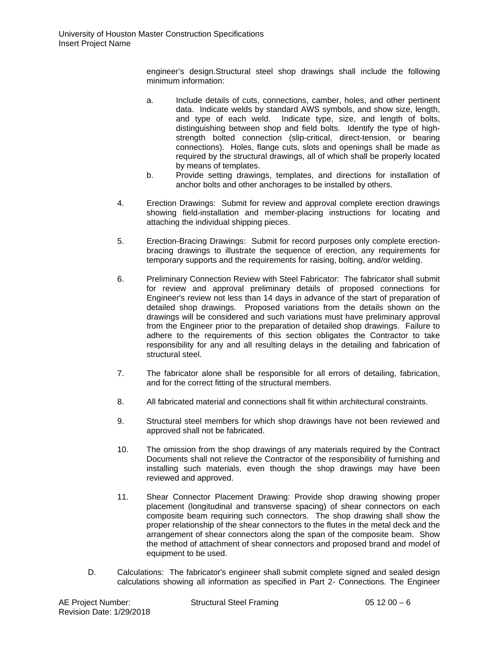engineer's design.Structural steel shop drawings shall include the following minimum information:

- a. Include details of cuts, connections, camber, holes, and other pertinent data. Indicate welds by standard AWS symbols, and show size, length, and type of each weld. Indicate type, size, and length of bolts, distinguishing between shop and field bolts. Identify the type of highstrength bolted connection (slip-critical, direct-tension, or bearing connections). Holes, flange cuts, slots and openings shall be made as required by the structural drawings, all of which shall be properly located by means of templates.
- b. Provide setting drawings, templates, and directions for installation of anchor bolts and other anchorages to be installed by others.
- 4. Erection Drawings: Submit for review and approval complete erection drawings showing field-installation and member-placing instructions for locating and attaching the individual shipping pieces.
- 5. Erection-Bracing Drawings: Submit for record purposes only complete erectionbracing drawings to illustrate the sequence of erection, any requirements for temporary supports and the requirements for raising, bolting, and/or welding.
- 6. Preliminary Connection Review with Steel Fabricator: The fabricator shall submit for review and approval preliminary details of proposed connections for Engineer's review not less than 14 days in advance of the start of preparation of detailed shop drawings. Proposed variations from the details shown on the drawings will be considered and such variations must have preliminary approval from the Engineer prior to the preparation of detailed shop drawings. Failure to adhere to the requirements of this section obligates the Contractor to take responsibility for any and all resulting delays in the detailing and fabrication of structural steel.
- 7. The fabricator alone shall be responsible for all errors of detailing, fabrication, and for the correct fitting of the structural members.
- 8. All fabricated material and connections shall fit within architectural constraints.
- 9. Structural steel members for which shop drawings have not been reviewed and approved shall not be fabricated.
- 10. The omission from the shop drawings of any materials required by the Contract Documents shall not relieve the Contractor of the responsibility of furnishing and installing such materials, even though the shop drawings may have been reviewed and approved.
- 11. Shear Connector Placement Drawing: Provide shop drawing showing proper placement (longitudinal and transverse spacing) of shear connectors on each composite beam requiring such connectors. The shop drawing shall show the proper relationship of the shear connectors to the flutes in the metal deck and the arrangement of shear connectors along the span of the composite beam. Show the method of attachment of shear connectors and proposed brand and model of equipment to be used.
- D. Calculations: The fabricator's engineer shall submit complete signed and sealed design calculations showing all information as specified in Part 2- Connections. The Engineer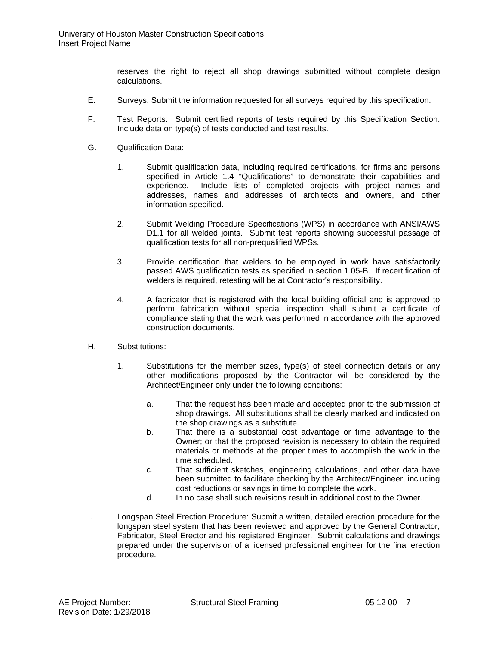reserves the right to reject all shop drawings submitted without complete design calculations.

- E. Surveys: Submit the information requested for all surveys required by this specification.
- F. Test Reports: Submit certified reports of tests required by this Specification Section. Include data on type(s) of tests conducted and test results.
- G. Qualification Data:
	- 1. Submit qualification data, including required certifications, for firms and persons specified in Article 1.4 "Qualifications" to demonstrate their capabilities and experience. Include lists of completed projects with project names and addresses, names and addresses of architects and owners, and other information specified.
	- 2. Submit Welding Procedure Specifications (WPS) in accordance with ANSI/AWS D1.1 for all welded joints. Submit test reports showing successful passage of qualification tests for all non-prequalified WPSs.
	- 3. Provide certification that welders to be employed in work have satisfactorily passed AWS qualification tests as specified in section 1.05-B. If recertification of welders is required, retesting will be at Contractor's responsibility.
	- 4. A fabricator that is registered with the local building official and is approved to perform fabrication without special inspection shall submit a certificate of compliance stating that the work was performed in accordance with the approved construction documents.
- H. Substitutions:
	- 1. Substitutions for the member sizes, type(s) of steel connection details or any other modifications proposed by the Contractor will be considered by the Architect/Engineer only under the following conditions:
		- a. That the request has been made and accepted prior to the submission of shop drawings. All substitutions shall be clearly marked and indicated on the shop drawings as a substitute.
		- b. That there is a substantial cost advantage or time advantage to the Owner; or that the proposed revision is necessary to obtain the required materials or methods at the proper times to accomplish the work in the time scheduled.
		- c. That sufficient sketches, engineering calculations, and other data have been submitted to facilitate checking by the Architect/Engineer, including cost reductions or savings in time to complete the work.
		- d. In no case shall such revisions result in additional cost to the Owner.
- I. Longspan Steel Erection Procedure: Submit a written, detailed erection procedure for the longspan steel system that has been reviewed and approved by the General Contractor, Fabricator, Steel Erector and his registered Engineer. Submit calculations and drawings prepared under the supervision of a licensed professional engineer for the final erection procedure.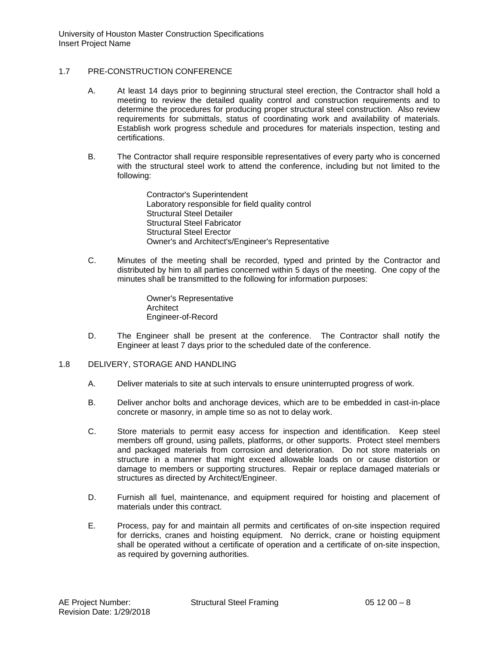University of Houston Master Construction Specifications Insert Project Name

## 1.7 PRE-CONSTRUCTION CONFERENCE

- A. At least 14 days prior to beginning structural steel erection, the Contractor shall hold a meeting to review the detailed quality control and construction requirements and to determine the procedures for producing proper structural steel construction. Also review requirements for submittals, status of coordinating work and availability of materials. Establish work progress schedule and procedures for materials inspection, testing and certifications.
- B. The Contractor shall require responsible representatives of every party who is concerned with the structural steel work to attend the conference, including but not limited to the following:

Contractor's Superintendent Laboratory responsible for field quality control Structural Steel Detailer Structural Steel Fabricator Structural Steel Erector Owner's and Architect's/Engineer's Representative

C. Minutes of the meeting shall be recorded, typed and printed by the Contractor and distributed by him to all parties concerned within 5 days of the meeting. One copy of the minutes shall be transmitted to the following for information purposes:

> Owner's Representative Architect Engineer-of-Record

- D. The Engineer shall be present at the conference. The Contractor shall notify the Engineer at least 7 days prior to the scheduled date of the conference.
- 1.8 DELIVERY, STORAGE AND HANDLING
	- A. Deliver materials to site at such intervals to ensure uninterrupted progress of work.
	- B. Deliver anchor bolts and anchorage devices, which are to be embedded in cast-in-place concrete or masonry, in ample time so as not to delay work.
	- C. Store materials to permit easy access for inspection and identification. Keep steel members off ground, using pallets, platforms, or other supports. Protect steel members and packaged materials from corrosion and deterioration. Do not store materials on structure in a manner that might exceed allowable loads on or cause distortion or damage to members or supporting structures. Repair or replace damaged materials or structures as directed by Architect/Engineer.
	- D. Furnish all fuel, maintenance, and equipment required for hoisting and placement of materials under this contract.
	- E. Process, pay for and maintain all permits and certificates of on-site inspection required for derricks, cranes and hoisting equipment. No derrick, crane or hoisting equipment shall be operated without a certificate of operation and a certificate of on-site inspection, as required by governing authorities.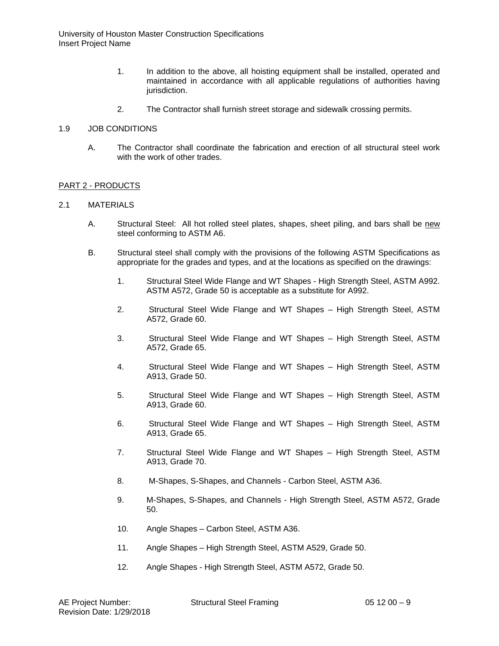- 1. In addition to the above, all hoisting equipment shall be installed, operated and maintained in accordance with all applicable regulations of authorities having jurisdiction.
- 2. The Contractor shall furnish street storage and sidewalk crossing permits.

#### 1.9 JOB CONDITIONS

A. The Contractor shall coordinate the fabrication and erection of all structural steel work with the work of other trades.

## PART 2 - PRODUCTS

## 2.1 MATERIALS

- A. Structural Steel: All hot rolled steel plates, shapes, sheet piling, and bars shall be new steel conforming to ASTM A6.
- B. Structural steel shall comply with the provisions of the following ASTM Specifications as appropriate for the grades and types, and at the locations as specified on the drawings:
	- 1. Structural Steel Wide Flange and WT Shapes High Strength Steel, ASTM A992. ASTM A572, Grade 50 is acceptable as a substitute for A992.
	- 2. Structural Steel Wide Flange and WT Shapes High Strength Steel, ASTM A572, Grade 60.
	- 3. Structural Steel Wide Flange and WT Shapes High Strength Steel, ASTM A572, Grade 65.
	- 4. Structural Steel Wide Flange and WT Shapes High Strength Steel, ASTM A913, Grade 50.
	- 5. Structural Steel Wide Flange and WT Shapes High Strength Steel, ASTM A913, Grade 60.
	- 6. Structural Steel Wide Flange and WT Shapes High Strength Steel, ASTM A913, Grade 65.
	- 7. Structural Steel Wide Flange and WT Shapes High Strength Steel, ASTM A913, Grade 70.
	- 8. M-Shapes, S-Shapes, and Channels Carbon Steel, ASTM A36.
	- 9. M-Shapes, S-Shapes, and Channels High Strength Steel, ASTM A572, Grade 50.
	- 10. Angle Shapes Carbon Steel, ASTM A36.
	- 11. Angle Shapes High Strength Steel, ASTM A529, Grade 50.
	- 12. Angle Shapes High Strength Steel, ASTM A572, Grade 50.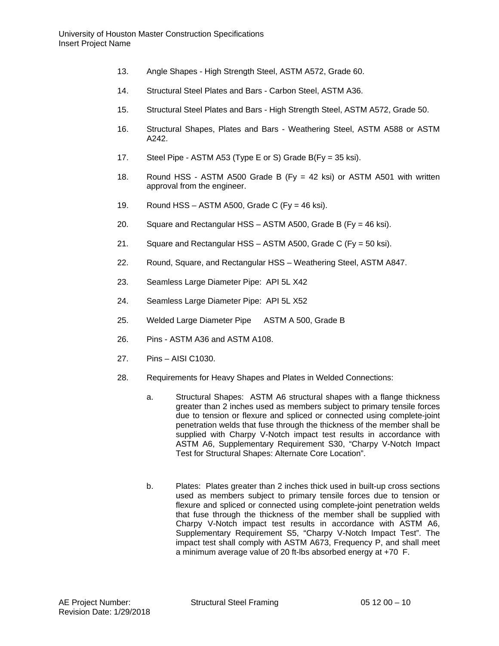- 13. Angle Shapes High Strength Steel, ASTM A572, Grade 60.
- 14. Structural Steel Plates and Bars Carbon Steel, ASTM A36.
- 15. Structural Steel Plates and Bars High Strength Steel, ASTM A572, Grade 50.
- 16. Structural Shapes, Plates and Bars Weathering Steel, ASTM A588 or ASTM A242.
- 17. Steel Pipe ASTM A53 (Type E or S) Grade B(Fy = 35 ksi).
- 18. Round HSS ASTM A500 Grade B (Fy = 42 ksi) or ASTM A501 with written approval from the engineer.
- 19. Round HSS ASTM A500, Grade C (Fy = 46 ksi).
- 20. Square and Rectangular HSS ASTM A500, Grade B (Fy = 46 ksi).
- 21. Square and Rectangular HSS ASTM A500, Grade C (Fy = 50 ksi).
- 22. Round, Square, and Rectangular HSS Weathering Steel, ASTM A847.
- 23. Seamless Large Diameter Pipe: API 5L X42
- 24. Seamless Large Diameter Pipe: API 5L X52
- 25. Welded Large Diameter Pipe ASTM A 500, Grade B
- 26. Pins ASTM A36 and ASTM A108.
- 27. Pins AISI C1030.
- 28. Requirements for Heavy Shapes and Plates in Welded Connections:
	- a. Structural Shapes: ASTM A6 structural shapes with a flange thickness greater than 2 inches used as members subject to primary tensile forces due to tension or flexure and spliced or connected using complete-joint penetration welds that fuse through the thickness of the member shall be supplied with Charpy V-Notch impact test results in accordance with ASTM A6, Supplementary Requirement S30, "Charpy V-Notch Impact Test for Structural Shapes: Alternate Core Location".
	- b. Plates: Plates greater than 2 inches thick used in built-up cross sections used as members subject to primary tensile forces due to tension or flexure and spliced or connected using complete-joint penetration welds that fuse through the thickness of the member shall be supplied with Charpy V-Notch impact test results in accordance with ASTM A6, Supplementary Requirement S5, "Charpy V-Notch Impact Test". The impact test shall comply with ASTM A673, Frequency P, and shall meet a minimum average value of 20 ft-lbs absorbed energy at +70 F.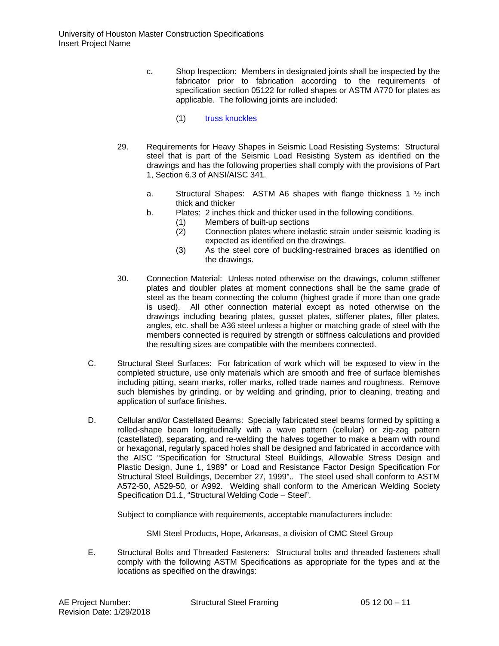- c. Shop Inspection: Members in designated joints shall be inspected by the fabricator prior to fabrication according to the requirements of specification section 05122 for rolled shapes or ASTM A770 for plates as applicable. The following joints are included:
	- (1) truss knuckles
- 29. Requirements for Heavy Shapes in Seismic Load Resisting Systems: Structural steel that is part of the Seismic Load Resisting System as identified on the drawings and has the following properties shall comply with the provisions of Part 1, Section 6.3 of ANSI/AISC 341.
	- a. Structural Shapes: ASTM A6 shapes with flange thickness 1  $\frac{1}{2}$  inch thick and thicker
	- b. Plates: 2 inches thick and thicker used in the following conditions.
		- (1) Members of built-up sections
			- (2) Connection plates where inelastic strain under seismic loading is expected as identified on the drawings.
			- (3) As the steel core of buckling-restrained braces as identified on the drawings.
- 30. Connection Material: Unless noted otherwise on the drawings, column stiffener plates and doubler plates at moment connections shall be the same grade of steel as the beam connecting the column (highest grade if more than one grade is used). All other connection material except as noted otherwise on the drawings including bearing plates, gusset plates, stiffener plates, filler plates, angles, etc. shall be A36 steel unless a higher or matching grade of steel with the members connected is required by strength or stiffness calculations and provided the resulting sizes are compatible with the members connected.
- C. Structural Steel Surfaces: For fabrication of work which will be exposed to view in the completed structure, use only materials which are smooth and free of surface blemishes including pitting, seam marks, roller marks, rolled trade names and roughness. Remove such blemishes by grinding, or by welding and grinding, prior to cleaning, treating and application of surface finishes.
- D. Cellular and/or Castellated Beams: Specially fabricated steel beams formed by splitting a rolled-shape beam longitudinally with a wave pattern (cellular) or zig-zag pattern (castellated), separating, and re-welding the halves together to make a beam with round or hexagonal, regularly spaced holes shall be designed and fabricated in accordance with the AISC "Specification for Structural Steel Buildings, Allowable Stress Design and Plastic Design, June 1, 1989" or Load and Resistance Factor Design Specification For Structural Steel Buildings, December 27, 1999".. The steel used shall conform to ASTM A572-50, A529-50, or A992. Welding shall conform to the American Welding Society Specification D1.1, "Structural Welding Code – Steel".

Subject to compliance with requirements, acceptable manufacturers include:

SMI Steel Products, Hope, Arkansas, a division of CMC Steel Group

E. Structural Bolts and Threaded Fasteners: Structural bolts and threaded fasteners shall comply with the following ASTM Specifications as appropriate for the types and at the locations as specified on the drawings: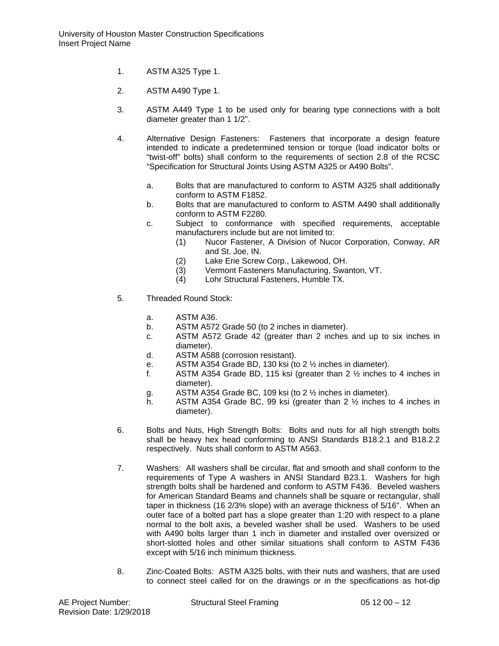- 1. ASTM A325 Type 1.
- 2. ASTM A490 Type 1.
- 3. ASTM A449 Type 1 to be used only for bearing type connections with a bolt diameter greater than 1 1/2".
- 4. Alternative Design Fasteners: Fasteners that incorporate a design feature intended to indicate a predetermined tension or torque (load indicator bolts or "twist-off" bolts) shall conform to the requirements of section 2.8 of the RCSC "Specification for Structural Joints Using ASTM A325 or A490 Bolts".
	- a. Bolts that are manufactured to conform to ASTM A325 shall additionally conform to ASTM F1852.
	- b. Bolts that are manufactured to conform to ASTM A490 shall additionally conform to ASTM F2280.
	- c. Subject to conformance with specified requirements, acceptable manufacturers include but are not limited to:
		- (1) Nucor Fastener, A Division of Nucor Corporation, Conway, AR and St. Joe, IN.
		- (2) Lake Erie Screw Corp., Lakewood, OH.
		- (3) Vermont Fasteners Manufacturing, Swanton, VT.
		- (4) Lohr Structural Fasteners, Humble TX.
- 5. Threaded Round Stock:
	- a. ASTM A36.
	- b. ASTM A572 Grade 50 (to 2 inches in diameter).
	- c. ASTM A572 Grade 42 (greater than 2 inches and up to six inches in diameter).
	- d. ASTM A588 (corrosion resistant).
	- e. ASTM A354 Grade BD, 130 ksi (to 2  $\frac{1}{2}$  inches in diameter).<br>f. ASTM A354 Grade BD, 115 ksi (greater than 2  $\frac{1}{2}$  inches t
	- ASTM A354 Grade BD, 115 ksi (greater than 2 1/2 inches to 4 inches in diameter).
	- g. ASTM A354 Grade BC, 109 ksi (to 2 ½ inches in diameter).
	- h. ASTM A354 Grade BC, 99 ksi (greater than 2 ½ inches to 4 inches in diameter).
- 6. Bolts and Nuts, High Strength Bolts: Bolts and nuts for all high strength bolts shall be heavy hex head conforming to ANSI Standards B18.2.1 and B18.2.2 respectively. Nuts shall conform to ASTM A563.
- 7. Washers: All washers shall be circular, flat and smooth and shall conform to the requirements of Type A washers in ANSI Standard B23.1. Washers for high strength bolts shall be hardened and conform to ASTM F436. Beveled washers for American Standard Beams and channels shall be square or rectangular, shall taper in thickness (16 2/3% slope) with an average thickness of 5/16". When an outer face of a bolted part has a slope greater than 1:20 with respect to a plane normal to the bolt axis, a beveled washer shall be used. Washers to be used with A490 bolts larger than 1 inch in diameter and installed over oversized or short-slotted holes and other similar situations shall conform to ASTM F436 except with 5/16 inch minimum thickness.
- 8. Zinc-Coated Bolts: ASTM A325 bolts, with their nuts and washers, that are used to connect steel called for on the drawings or in the specifications as hot-dip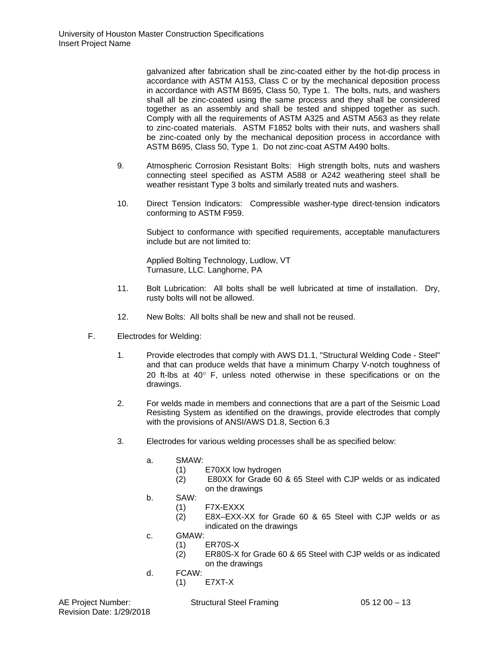galvanized after fabrication shall be zinc-coated either by the hot-dip process in accordance with ASTM A153, Class C or by the mechanical deposition process in accordance with ASTM B695, Class 50, Type 1. The bolts, nuts, and washers shall all be zinc-coated using the same process and they shall be considered together as an assembly and shall be tested and shipped together as such. Comply with all the requirements of ASTM A325 and ASTM A563 as they relate to zinc-coated materials. ASTM F1852 bolts with their nuts, and washers shall be zinc-coated only by the mechanical deposition process in accordance with ASTM B695, Class 50, Type 1. Do not zinc-coat ASTM A490 bolts.

- 9. Atmospheric Corrosion Resistant Bolts: High strength bolts, nuts and washers connecting steel specified as ASTM A588 or A242 weathering steel shall be weather resistant Type 3 bolts and similarly treated nuts and washers.
- 10. Direct Tension Indicators: Compressible washer-type direct-tension indicators conforming to ASTM F959.

Subject to conformance with specified requirements, acceptable manufacturers include but are not limited to:

Applied Bolting Technology, Ludlow, VT Turnasure, LLC. Langhorne, PA

- 11. Bolt Lubrication: All bolts shall be well lubricated at time of installation. Dry, rusty bolts will not be allowed.
- 12. New Bolts: All bolts shall be new and shall not be reused.
- F. Electrodes for Welding:
	- 1. Provide electrodes that comply with AWS D1.1, "Structural Welding Code Steel" and that can produce welds that have a minimum Charpy V-notch toughness of 20 ft-lbs at 40° F, unless noted otherwise in these specifications or on the drawings.
	- 2. For welds made in members and connections that are a part of the Seismic Load Resisting System as identified on the drawings, provide electrodes that comply with the provisions of ANSI/AWS D1.8, Section 6.3
	- 3. Electrodes for various welding processes shall be as specified below:
		- a. SMAW:
			- (1) E70XX low hydrogen
			- (2) E80XX for Grade 60 & 65 Steel with CJP welds or as indicated on the drawings
		- b. SAW:
			- (1) F7X-EXXX<br>(2) E8X-EXX-
			- E8X–EXX-XX for Grade 60 & 65 Steel with CJP welds or as indicated on the drawings
		- c. GMAW:
			- (1) ER70S-X
			- (2) ER80S-X for Grade 60 & 65 Steel with CJP welds or as indicated on the drawings
		- d. FCAW:
			- (1) E7XT-X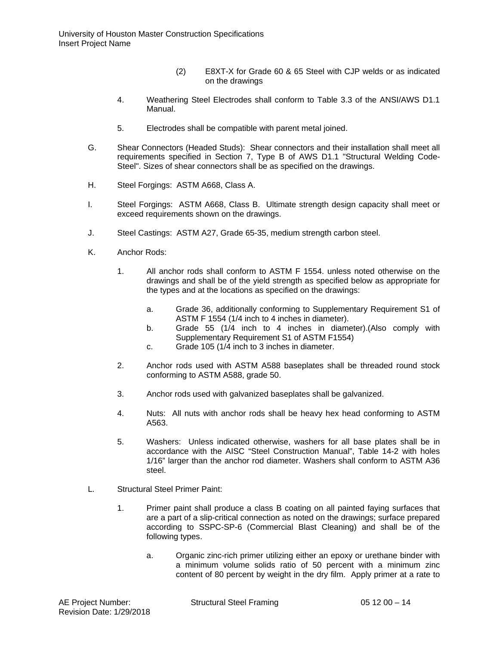- (2) E8XT-X for Grade 60 & 65 Steel with CJP welds or as indicated on the drawings
- 4. Weathering Steel Electrodes shall conform to Table 3.3 of the ANSI/AWS D1.1 Manual.
- 5. Electrodes shall be compatible with parent metal joined.
- G. Shear Connectors (Headed Studs): Shear connectors and their installation shall meet all requirements specified in Section 7, Type B of AWS D1.1 "Structural Welding Code-Steel". Sizes of shear connectors shall be as specified on the drawings.
- H. Steel Forgings: ASTM A668, Class A.
- I. Steel Forgings: ASTM A668, Class B. Ultimate strength design capacity shall meet or exceed requirements shown on the drawings.
- J. Steel Castings: ASTM A27, Grade 65-35, medium strength carbon steel.
- K. Anchor Rods:
	- 1. All anchor rods shall conform to ASTM F 1554. unless noted otherwise on the drawings and shall be of the yield strength as specified below as appropriate for the types and at the locations as specified on the drawings:
		- a. Grade 36, additionally conforming to Supplementary Requirement S1 of ASTM F 1554 (1/4 inch to 4 inches in diameter).
		- b. Grade 55 (1/4 inch to 4 inches in diameter).(Also comply with Supplementary Requirement S1 of ASTM F1554)
		- c. Grade 105 (1/4 inch to 3 inches in diameter.
	- 2. Anchor rods used with ASTM A588 baseplates shall be threaded round stock conforming to ASTM A588, grade 50.
	- 3. Anchor rods used with galvanized baseplates shall be galvanized.
	- 4. Nuts: All nuts with anchor rods shall be heavy hex head conforming to ASTM A563.
	- 5. Washers: Unless indicated otherwise, washers for all base plates shall be in accordance with the AISC "Steel Construction Manual", Table 14-2 with holes 1/16" larger than the anchor rod diameter. Washers shall conform to ASTM A36 steel.
- L. Structural Steel Primer Paint:
	- 1. Primer paint shall produce a class B coating on all painted faying surfaces that are a part of a slip-critical connection as noted on the drawings; surface prepared according to SSPC-SP-6 (Commercial Blast Cleaning) and shall be of the following types.
		- a. Organic zinc-rich primer utilizing either an epoxy or urethane binder with a minimum volume solids ratio of 50 percent with a minimum zinc content of 80 percent by weight in the dry film. Apply primer at a rate to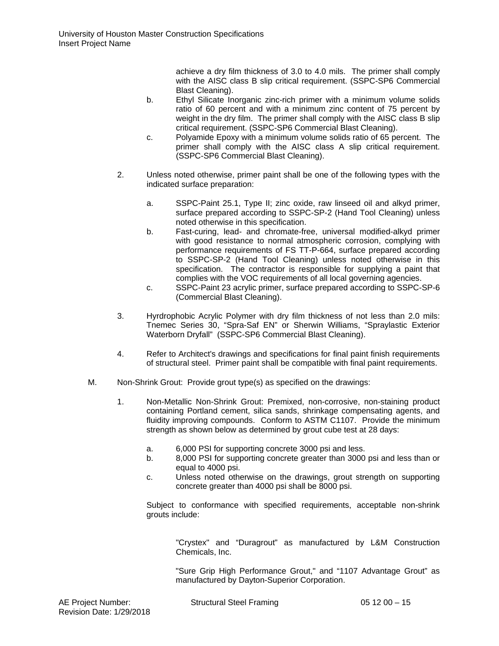achieve a dry film thickness of 3.0 to 4.0 mils. The primer shall comply with the AISC class B slip critical requirement. (SSPC-SP6 Commercial Blast Cleaning).

- b. Ethyl Silicate Inorganic zinc-rich primer with a minimum volume solids ratio of 60 percent and with a minimum zinc content of 75 percent by weight in the dry film. The primer shall comply with the AISC class B slip critical requirement. (SSPC-SP6 Commercial Blast Cleaning).
- c. Polyamide Epoxy with a minimum volume solids ratio of 65 percent. The primer shall comply with the AISC class A slip critical requirement. (SSPC-SP6 Commercial Blast Cleaning).
- 2. Unless noted otherwise, primer paint shall be one of the following types with the indicated surface preparation:
	- a. SSPC-Paint 25.1, Type II; zinc oxide, raw linseed oil and alkyd primer, surface prepared according to SSPC-SP-2 (Hand Tool Cleaning) unless noted otherwise in this specification.
	- b. Fast-curing, lead- and chromate-free, universal modified-alkyd primer with good resistance to normal atmospheric corrosion, complying with performance requirements of FS TT-P-664, surface prepared according to SSPC-SP-2 (Hand Tool Cleaning) unless noted otherwise in this specification. The contractor is responsible for supplying a paint that complies with the VOC requirements of all local governing agencies.
	- c. SSPC-Paint 23 acrylic primer, surface prepared according to SSPC-SP-6 (Commercial Blast Cleaning).
- 3. Hyrdrophobic Acrylic Polymer with dry film thickness of not less than 2.0 mils: Tnemec Series 30, "Spra-Saf EN" or Sherwin Williams, "Spraylastic Exterior Waterborn Dryfall" (SSPC-SP6 Commercial Blast Cleaning).
- 4. Refer to Architect's drawings and specifications for final paint finish requirements of structural steel. Primer paint shall be compatible with final paint requirements.
- M. Non-Shrink Grout: Provide grout type(s) as specified on the drawings:
	- 1. Non-Metallic Non-Shrink Grout: Premixed, non-corrosive, non-staining product containing Portland cement, silica sands, shrinkage compensating agents, and fluidity improving compounds. Conform to ASTM C1107. Provide the minimum strength as shown below as determined by grout cube test at 28 days:
		- a. 6,000 PSI for supporting concrete 3000 psi and less.
		- b. 8,000 PSI for supporting concrete greater than 3000 psi and less than or equal to 4000 psi.
		- c. Unless noted otherwise on the drawings, grout strength on supporting concrete greater than 4000 psi shall be 8000 psi.

Subject to conformance with specified requirements, acceptable non-shrink grouts include:

"Crystex" and "Duragrout" as manufactured by L&M Construction Chemicals, Inc.

"Sure Grip High Performance Grout," and "1107 Advantage Grout" as manufactured by Dayton-Superior Corporation.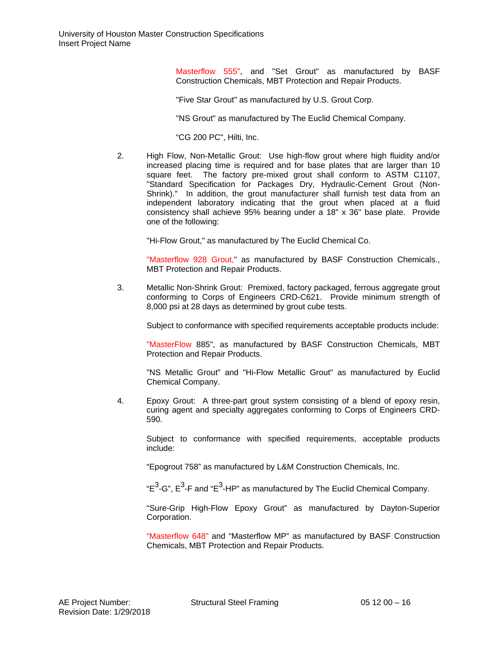Masterflow 555", and "Set Grout" as manufactured by BASF Construction Chemicals, MBT Protection and Repair Products.

"Five Star Grout" as manufactured by U.S. Grout Corp.

"NS Grout" as manufactured by The Euclid Chemical Company.

"CG 200 PC", Hilti, Inc.

2. High Flow, Non-Metallic Grout: Use high-flow grout where high fluidity and/or increased placing time is required and for base plates that are larger than 10 square feet. The factory pre-mixed grout shall conform to ASTM C1107, "Standard Specification for Packages Dry, Hydraulic-Cement Grout (Non-Shrink)." In addition, the grout manufacturer shall furnish test data from an independent laboratory indicating that the grout when placed at a fluid consistency shall achieve 95% bearing under a 18" x 36" base plate. Provide one of the following:

"Hi-Flow Grout," as manufactured by The Euclid Chemical Co.

"Masterflow 928 Grout," as manufactured by BASF Construction Chemicals., MBT Protection and Repair Products.

3. Metallic Non-Shrink Grout: Premixed, factory packaged, ferrous aggregate grout conforming to Corps of Engineers CRD-C621. Provide minimum strength of 8,000 psi at 28 days as determined by grout cube tests.

Subject to conformance with specified requirements acceptable products include:

"MasterFlow 885", as manufactured by BASF Construction Chemicals, MBT Protection and Repair Products.

"NS Metallic Grout" and "Hi-Flow Metallic Grout" as manufactured by Euclid Chemical Company.

4. Epoxy Grout: A three-part grout system consisting of a blend of epoxy resin, curing agent and specialty aggregates conforming to Corps of Engineers CRD-590.

Subject to conformance with specified requirements, acceptable products include:

"Epogrout 758" as manufactured by L&M Construction Chemicals, Inc.

" $E^3$ -G",  $E^3$ -F and "E<sup>3</sup>-HP" as manufactured by The Euclid Chemical Company.

"Sure-Grip High-Flow Epoxy Grout" as manufactured by Dayton-Superior Corporation.

"Masterflow 648" and "Masterflow MP" as manufactured by BASF Construction Chemicals, MBT Protection and Repair Products.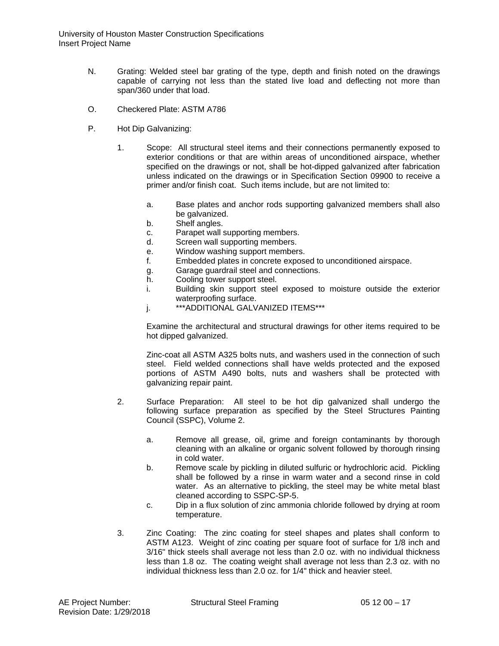- N. Grating: Welded steel bar grating of the type, depth and finish noted on the drawings capable of carrying not less than the stated live load and deflecting not more than span/360 under that load.
- O. Checkered Plate: ASTM A786
- P. Hot Dip Galvanizing:
	- 1. Scope: All structural steel items and their connections permanently exposed to exterior conditions or that are within areas of unconditioned airspace, whether specified on the drawings or not, shall be hot-dipped galvanized after fabrication unless indicated on the drawings or in Specification Section 09900 to receive a primer and/or finish coat. Such items include, but are not limited to:
		- a. Base plates and anchor rods supporting galvanized members shall also be galvanized.
		- b. Shelf angles.
		- c. Parapet wall supporting members.<br>d. Screen wall supporting members.
		- Screen wall supporting members.
		- e. Window washing support members.
		- f. Embedded plates in concrete exposed to unconditioned airspace.
		- g. Garage guardrail steel and connections.
		- h. Cooling tower support steel.
		- i. Building skin support steel exposed to moisture outside the exterior waterproofing surface.
		- j. \*\*\*ADDITIONAL GALVANIZED ITEMS\*\*\*

Examine the architectural and structural drawings for other items required to be hot dipped galvanized.

Zinc-coat all ASTM A325 bolts nuts, and washers used in the connection of such steel. Field welded connections shall have welds protected and the exposed portions of ASTM A490 bolts, nuts and washers shall be protected with galvanizing repair paint.

- 2. Surface Preparation: All steel to be hot dip galvanized shall undergo the following surface preparation as specified by the Steel Structures Painting Council (SSPC), Volume 2.
	- a. Remove all grease, oil, grime and foreign contaminants by thorough cleaning with an alkaline or organic solvent followed by thorough rinsing in cold water.
	- b. Remove scale by pickling in diluted sulfuric or hydrochloric acid. Pickling shall be followed by a rinse in warm water and a second rinse in cold water. As an alternative to pickling, the steel may be white metal blast cleaned according to SSPC-SP-5.
	- c. Dip in a flux solution of zinc ammonia chloride followed by drying at room temperature.
- 3. Zinc Coating: The zinc coating for steel shapes and plates shall conform to ASTM A123. Weight of zinc coating per square foot of surface for 1/8 inch and 3/16" thick steels shall average not less than 2.0 oz. with no individual thickness less than 1.8 oz. The coating weight shall average not less than 2.3 oz. with no individual thickness less than 2.0 oz. for 1/4" thick and heavier steel.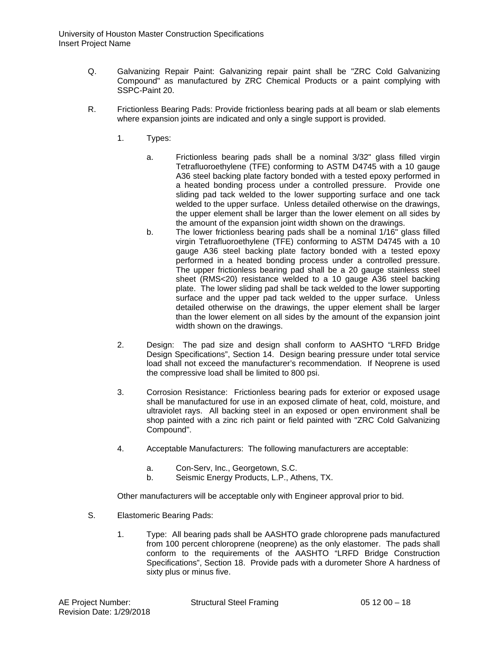- Q. Galvanizing Repair Paint: Galvanizing repair paint shall be "ZRC Cold Galvanizing Compound" as manufactured by ZRC Chemical Products or a paint complying with SSPC-Paint 20.
- R. Frictionless Bearing Pads: Provide frictionless bearing pads at all beam or slab elements where expansion joints are indicated and only a single support is provided.
	- 1. Types:
		- a. Frictionless bearing pads shall be a nominal 3/32" glass filled virgin Tetrafluoroethylene (TFE) conforming to ASTM D4745 with a 10 gauge A36 steel backing plate factory bonded with a tested epoxy performed in a heated bonding process under a controlled pressure. Provide one sliding pad tack welded to the lower supporting surface and one tack welded to the upper surface. Unless detailed otherwise on the drawings, the upper element shall be larger than the lower element on all sides by the amount of the expansion joint width shown on the drawings.
		- b. The lower frictionless bearing pads shall be a nominal 1/16" glass filled virgin Tetrafluoroethylene (TFE) conforming to ASTM D4745 with a 10 gauge A36 steel backing plate factory bonded with a tested epoxy performed in a heated bonding process under a controlled pressure. The upper frictionless bearing pad shall be a 20 gauge stainless steel sheet (RMS<20) resistance welded to a 10 gauge A36 steel backing plate. The lower sliding pad shall be tack welded to the lower supporting surface and the upper pad tack welded to the upper surface. Unless detailed otherwise on the drawings, the upper element shall be larger than the lower element on all sides by the amount of the expansion joint width shown on the drawings.
	- 2. Design: The pad size and design shall conform to AASHTO "LRFD Bridge Design Specifications", Section 14. Design bearing pressure under total service load shall not exceed the manufacturer's recommendation. If Neoprene is used the compressive load shall be limited to 800 psi.
	- 3. Corrosion Resistance: Frictionless bearing pads for exterior or exposed usage shall be manufactured for use in an exposed climate of heat, cold, moisture, and ultraviolet rays. All backing steel in an exposed or open environment shall be shop painted with a zinc rich paint or field painted with "ZRC Cold Galvanizing Compound".
	- 4. Acceptable Manufacturers: The following manufacturers are acceptable:
		- a. Con-Serv, Inc., Georgetown, S.C.
		- b. Seismic Energy Products, L.P., Athens, TX.

Other manufacturers will be acceptable only with Engineer approval prior to bid.

- S. Elastomeric Bearing Pads:
	- 1. Type: All bearing pads shall be AASHTO grade chloroprene pads manufactured from 100 percent chloroprene (neoprene) as the only elastomer. The pads shall conform to the requirements of the AASHTO "LRFD Bridge Construction Specifications", Section 18. Provide pads with a durometer Shore A hardness of sixty plus or minus five.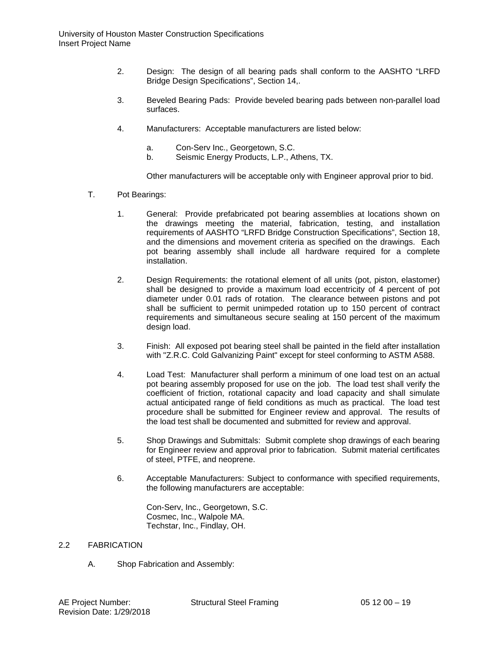- 2. Design: The design of all bearing pads shall conform to the AASHTO "LRFD Bridge Design Specifications", Section 14,.
- 3. Beveled Bearing Pads: Provide beveled bearing pads between non-parallel load surfaces.
- 4. Manufacturers: Acceptable manufacturers are listed below:
	- a. Con-Serv Inc., Georgetown, S.C.
	- b. Seismic Energy Products, L.P., Athens, TX.

Other manufacturers will be acceptable only with Engineer approval prior to bid.

- T. Pot Bearings:
	- 1. General: Provide prefabricated pot bearing assemblies at locations shown on the drawings meeting the material, fabrication, testing, and installation requirements of AASHTO "LRFD Bridge Construction Specifications", Section 18, and the dimensions and movement criteria as specified on the drawings. Each pot bearing assembly shall include all hardware required for a complete installation.
	- 2. Design Requirements: the rotational element of all units (pot, piston, elastomer) shall be designed to provide a maximum load eccentricity of 4 percent of pot diameter under 0.01 rads of rotation. The clearance between pistons and pot shall be sufficient to permit unimpeded rotation up to 150 percent of contract requirements and simultaneous secure sealing at 150 percent of the maximum design load.
	- 3. Finish: All exposed pot bearing steel shall be painted in the field after installation with "Z.R.C. Cold Galvanizing Paint" except for steel conforming to ASTM A588.
	- 4. Load Test: Manufacturer shall perform a minimum of one load test on an actual pot bearing assembly proposed for use on the job. The load test shall verify the coefficient of friction, rotational capacity and load capacity and shall simulate actual anticipated range of field conditions as much as practical. The load test procedure shall be submitted for Engineer review and approval. The results of the load test shall be documented and submitted for review and approval.
	- 5. Shop Drawings and Submittals: Submit complete shop drawings of each bearing for Engineer review and approval prior to fabrication. Submit material certificates of steel, PTFE, and neoprene.
	- 6. Acceptable Manufacturers: Subject to conformance with specified requirements, the following manufacturers are acceptable:

Con-Serv, Inc., Georgetown, S.C. Cosmec, Inc., Walpole MA. Techstar, Inc., Findlay, OH.

#### 2.2 FABRICATION

A. Shop Fabrication and Assembly: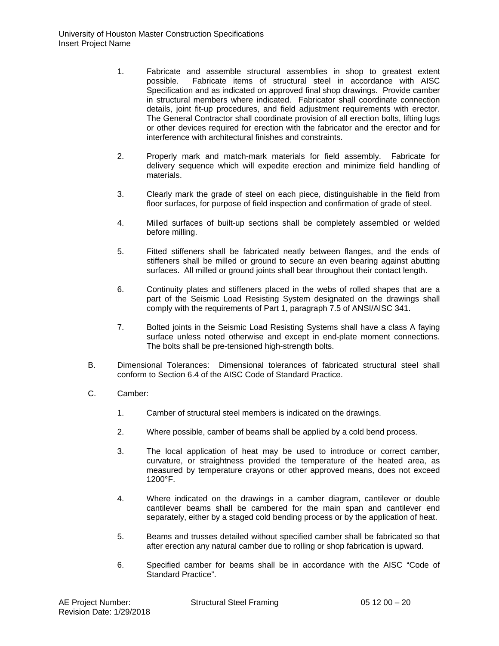- 1. Fabricate and assemble structural assemblies in shop to greatest extent possible. Fabricate items of structural steel in accordance with AISC Specification and as indicated on approved final shop drawings. Provide camber in structural members where indicated. Fabricator shall coordinate connection details, joint fit-up procedures, and field adjustment requirements with erector. The General Contractor shall coordinate provision of all erection bolts, lifting lugs or other devices required for erection with the fabricator and the erector and for interference with architectural finishes and constraints.
- 2. Properly mark and match-mark materials for field assembly. Fabricate for delivery sequence which will expedite erection and minimize field handling of materials.
- 3. Clearly mark the grade of steel on each piece, distinguishable in the field from floor surfaces, for purpose of field inspection and confirmation of grade of steel.
- 4. Milled surfaces of built-up sections shall be completely assembled or welded before milling.
- 5. Fitted stiffeners shall be fabricated neatly between flanges, and the ends of stiffeners shall be milled or ground to secure an even bearing against abutting surfaces. All milled or ground joints shall bear throughout their contact length.
- 6. Continuity plates and stiffeners placed in the webs of rolled shapes that are a part of the Seismic Load Resisting System designated on the drawings shall comply with the requirements of Part 1, paragraph 7.5 of ANSI/AISC 341.
- 7. Bolted joints in the Seismic Load Resisting Systems shall have a class A faying surface unless noted otherwise and except in end-plate moment connections. The bolts shall be pre-tensioned high-strength bolts.
- B. Dimensional Tolerances: Dimensional tolerances of fabricated structural steel shall conform to Section 6.4 of the AISC Code of Standard Practice.
- C. Camber:
	- 1. Camber of structural steel members is indicated on the drawings.
	- 2. Where possible, camber of beams shall be applied by a cold bend process.
	- 3. The local application of heat may be used to introduce or correct camber, curvature, or straightness provided the temperature of the heated area, as measured by temperature crayons or other approved means, does not exceed 1200°F.
	- 4. Where indicated on the drawings in a camber diagram, cantilever or double cantilever beams shall be cambered for the main span and cantilever end separately, either by a staged cold bending process or by the application of heat.
	- 5. Beams and trusses detailed without specified camber shall be fabricated so that after erection any natural camber due to rolling or shop fabrication is upward.
	- 6. Specified camber for beams shall be in accordance with the AISC "Code of Standard Practice".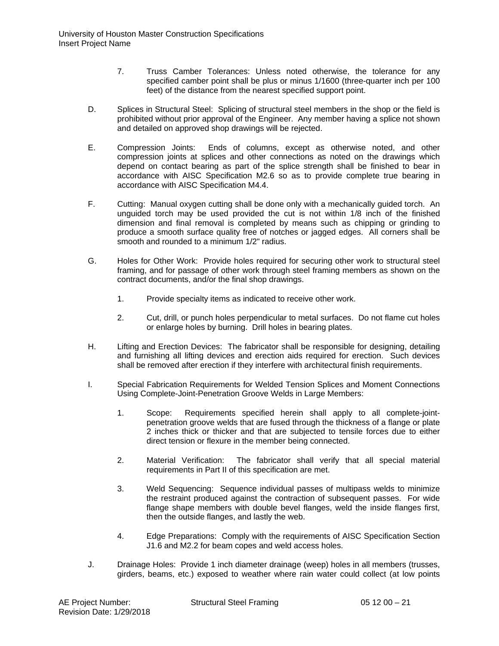- 7. Truss Camber Tolerances: Unless noted otherwise, the tolerance for any specified camber point shall be plus or minus 1/1600 (three-quarter inch per 100 feet) of the distance from the nearest specified support point.
- D. Splices in Structural Steel: Splicing of structural steel members in the shop or the field is prohibited without prior approval of the Engineer. Any member having a splice not shown and detailed on approved shop drawings will be rejected.
- E. Compression Joints: Ends of columns, except as otherwise noted, and other compression joints at splices and other connections as noted on the drawings which depend on contact bearing as part of the splice strength shall be finished to bear in accordance with AISC Specification M2.6 so as to provide complete true bearing in accordance with AISC Specification M4.4.
- F. Cutting: Manual oxygen cutting shall be done only with a mechanically guided torch. An unguided torch may be used provided the cut is not within 1/8 inch of the finished dimension and final removal is completed by means such as chipping or grinding to produce a smooth surface quality free of notches or jagged edges. All corners shall be smooth and rounded to a minimum 1/2" radius.
- G. Holes for Other Work: Provide holes required for securing other work to structural steel framing, and for passage of other work through steel framing members as shown on the contract documents, and/or the final shop drawings.
	- 1. Provide specialty items as indicated to receive other work.
	- 2. Cut, drill, or punch holes perpendicular to metal surfaces. Do not flame cut holes or enlarge holes by burning. Drill holes in bearing plates.
- H. Lifting and Erection Devices: The fabricator shall be responsible for designing, detailing and furnishing all lifting devices and erection aids required for erection. Such devices shall be removed after erection if they interfere with architectural finish requirements.
- I. Special Fabrication Requirements for Welded Tension Splices and Moment Connections Using Complete-Joint-Penetration Groove Welds in Large Members:
	- 1. Scope: Requirements specified herein shall apply to all complete-jointpenetration groove welds that are fused through the thickness of a flange or plate 2 inches thick or thicker and that are subjected to tensile forces due to either direct tension or flexure in the member being connected.
	- 2. Material Verification: The fabricator shall verify that all special material requirements in Part II of this specification are met.
	- 3. Weld Sequencing: Sequence individual passes of multipass welds to minimize the restraint produced against the contraction of subsequent passes. For wide flange shape members with double bevel flanges, weld the inside flanges first, then the outside flanges, and lastly the web.
	- 4. Edge Preparations: Comply with the requirements of AISC Specification Section J1.6 and M2.2 for beam copes and weld access holes.
- J. Drainage Holes: Provide 1 inch diameter drainage (weep) holes in all members (trusses, girders, beams, etc.) exposed to weather where rain water could collect (at low points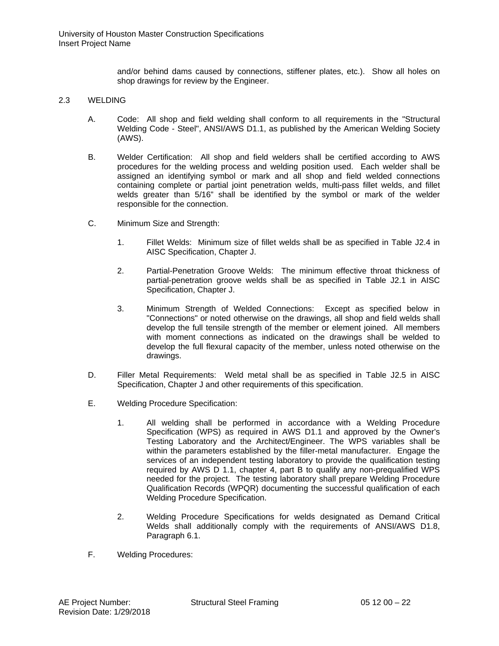and/or behind dams caused by connections, stiffener plates, etc.). Show all holes on shop drawings for review by the Engineer.

# 2.3 WELDING

- A. Code: All shop and field welding shall conform to all requirements in the "Structural Welding Code - Steel", ANSI/AWS D1.1, as published by the American Welding Society (AWS).
- B. Welder Certification: All shop and field welders shall be certified according to AWS procedures for the welding process and welding position used. Each welder shall be assigned an identifying symbol or mark and all shop and field welded connections containing complete or partial joint penetration welds, multi-pass fillet welds, and fillet welds greater than 5/16" shall be identified by the symbol or mark of the welder responsible for the connection.
- C. Minimum Size and Strength:
	- 1. Fillet Welds: Minimum size of fillet welds shall be as specified in Table J2.4 in AISC Specification, Chapter J.
	- 2. Partial-Penetration Groove Welds: The minimum effective throat thickness of partial-penetration groove welds shall be as specified in Table J2.1 in AISC Specification, Chapter J.
	- 3. Minimum Strength of Welded Connections: Except as specified below in "Connections" or noted otherwise on the drawings, all shop and field welds shall develop the full tensile strength of the member or element joined. All members with moment connections as indicated on the drawings shall be welded to develop the full flexural capacity of the member, unless noted otherwise on the drawings.
- D. Filler Metal Requirements: Weld metal shall be as specified in Table J2.5 in AISC Specification, Chapter J and other requirements of this specification.
- E. Welding Procedure Specification:
	- 1. All welding shall be performed in accordance with a Welding Procedure Specification (WPS) as required in AWS D1.1 and approved by the Owner's Testing Laboratory and the Architect/Engineer. The WPS variables shall be within the parameters established by the filler-metal manufacturer. Engage the services of an independent testing laboratory to provide the qualification testing required by AWS D 1.1, chapter 4, part B to qualify any non-prequalified WPS needed for the project. The testing laboratory shall prepare Welding Procedure Qualification Records (WPQR) documenting the successful qualification of each Welding Procedure Specification.
	- 2. Welding Procedure Specifications for welds designated as Demand Critical Welds shall additionally comply with the requirements of ANSI/AWS D1.8, Paragraph 6.1.
- F. Welding Procedures: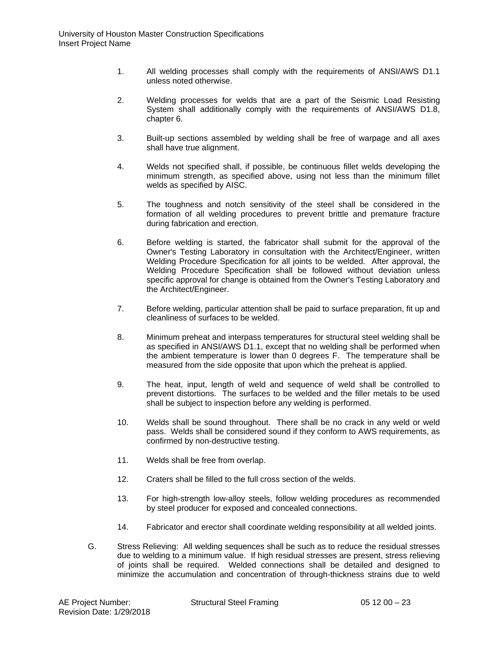- 1. All welding processes shall comply with the requirements of ANSI/AWS D1.1 unless noted otherwise.
- 2. Welding processes for welds that are a part of the Seismic Load Resisting System shall additionally comply with the requirements of ANSI/AWS D1.8, chapter 6.
- 3. Built-up sections assembled by welding shall be free of warpage and all axes shall have true alignment.
- 4. Welds not specified shall, if possible, be continuous fillet welds developing the minimum strength, as specified above, using not less than the minimum fillet welds as specified by AISC.
- 5. The toughness and notch sensitivity of the steel shall be considered in the formation of all welding procedures to prevent brittle and premature fracture during fabrication and erection.
- 6. Before welding is started, the fabricator shall submit for the approval of the Owner's Testing Laboratory in consultation with the Architect/Engineer, written Welding Procedure Specification for all joints to be welded. After approval, the Welding Procedure Specification shall be followed without deviation unless specific approval for change is obtained from the Owner's Testing Laboratory and the Architect/Engineer.
- 7. Before welding, particular attention shall be paid to surface preparation, fit up and cleanliness of surfaces to be welded.
- 8. Minimum preheat and interpass temperatures for structural steel welding shall be as specified in ANSI/AWS D1.1, except that no welding shall be performed when the ambient temperature is lower than 0 degrees F. The temperature shall be measured from the side opposite that upon which the preheat is applied.
- 9. The heat, input, length of weld and sequence of weld shall be controlled to prevent distortions. The surfaces to be welded and the filler metals to be used shall be subject to inspection before any welding is performed.
- 10. Welds shall be sound throughout. There shall be no crack in any weld or weld pass. Welds shall be considered sound if they conform to AWS requirements, as confirmed by non-destructive testing.
- 11. Welds shall be free from overlap.
- 12. Craters shall be filled to the full cross section of the welds.
- 13. For high-strength low-alloy steels, follow welding procedures as recommended by steel producer for exposed and concealed connections.
- 14. Fabricator and erector shall coordinate welding responsibility at all welded joints.
- G. Stress Relieving: All welding sequences shall be such as to reduce the residual stresses due to welding to a minimum value. If high residual stresses are present, stress relieving of joints shall be required. Welded connections shall be detailed and designed to minimize the accumulation and concentration of through-thickness strains due to weld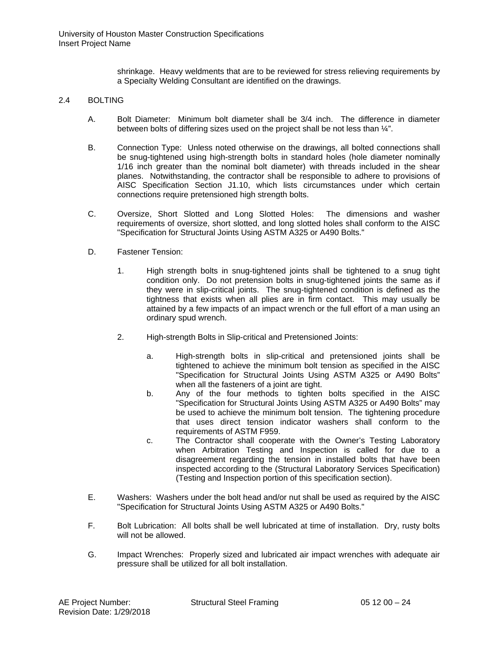shrinkage. Heavy weldments that are to be reviewed for stress relieving requirements by a Specialty Welding Consultant are identified on the drawings.

# 2.4 BOLTING

- A. Bolt Diameter: Minimum bolt diameter shall be 3/4 inch. The difference in diameter between bolts of differing sizes used on the project shall be not less than ¼".
- B. Connection Type: Unless noted otherwise on the drawings, all bolted connections shall be snug-tightened using high-strength bolts in standard holes (hole diameter nominally 1/16 inch greater than the nominal bolt diameter) with threads included in the shear planes. Notwithstanding, the contractor shall be responsible to adhere to provisions of AISC Specification Section J1.10, which lists circumstances under which certain connections require pretensioned high strength bolts.
- C. Oversize, Short Slotted and Long Slotted Holes: The dimensions and washer requirements of oversize, short slotted, and long slotted holes shall conform to the AISC "Specification for Structural Joints Using ASTM A325 or A490 Bolts."
- D. Fastener Tension:
	- 1. High strength bolts in snug-tightened joints shall be tightened to a snug tight condition only. Do not pretension bolts in snug-tightened joints the same as if they were in slip-critical joints. The snug-tightened condition is defined as the tightness that exists when all plies are in firm contact. This may usually be attained by a few impacts of an impact wrench or the full effort of a man using an ordinary spud wrench.
	- 2. High-strength Bolts in Slip-critical and Pretensioned Joints:
		- a. High-strength bolts in slip-critical and pretensioned joints shall be tightened to achieve the minimum bolt tension as specified in the AISC "Specification for Structural Joints Using ASTM A325 or A490 Bolts" when all the fasteners of a joint are tight.
		- b. Any of the four methods to tighten bolts specified in the AISC "Specification for Structural Joints Using ASTM A325 or A490 Bolts" may be used to achieve the minimum bolt tension. The tightening procedure that uses direct tension indicator washers shall conform to the requirements of ASTM F959.
		- c. The Contractor shall cooperate with the Owner's Testing Laboratory when Arbitration Testing and Inspection is called for due to a disagreement regarding the tension in installed bolts that have been inspected according to the (Structural Laboratory Services Specification) (Testing and Inspection portion of this specification section).
- E. Washers: Washers under the bolt head and/or nut shall be used as required by the AISC "Specification for Structural Joints Using ASTM A325 or A490 Bolts."
- F. Bolt Lubrication: All bolts shall be well lubricated at time of installation. Dry, rusty bolts will not be allowed.
- G. Impact Wrenches: Properly sized and lubricated air impact wrenches with adequate air pressure shall be utilized for all bolt installation.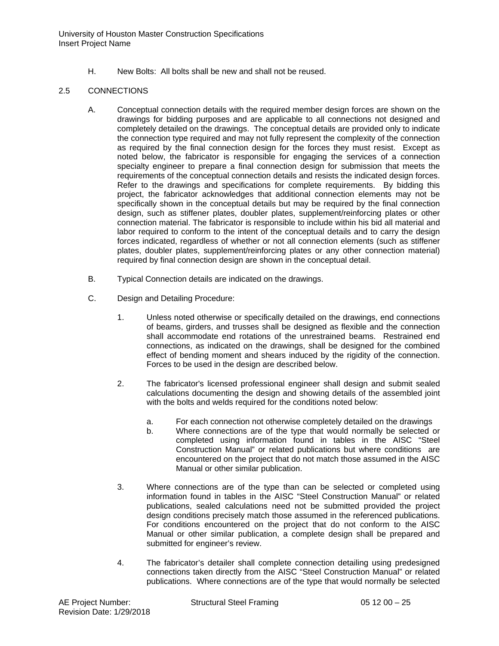H. New Bolts: All bolts shall be new and shall not be reused.

# 2.5 CONNECTIONS

- A. Conceptual connection details with the required member design forces are shown on the drawings for bidding purposes and are applicable to all connections not designed and completely detailed on the drawings. The conceptual details are provided only to indicate the connection type required and may not fully represent the complexity of the connection as required by the final connection design for the forces they must resist. Except as noted below, the fabricator is responsible for engaging the services of a connection specialty engineer to prepare a final connection design for submission that meets the requirements of the conceptual connection details and resists the indicated design forces. Refer to the drawings and specifications for complete requirements. By bidding this project, the fabricator acknowledges that additional connection elements may not be specifically shown in the conceptual details but may be required by the final connection design, such as stiffener plates, doubler plates, supplement/reinforcing plates or other connection material. The fabricator is responsible to include within his bid all material and labor required to conform to the intent of the conceptual details and to carry the design forces indicated, regardless of whether or not all connection elements (such as stiffener plates, doubler plates, supplement/reinforcing plates or any other connection material) required by final connection design are shown in the conceptual detail.
- B. Typical Connection details are indicated on the drawings.
- C. Design and Detailing Procedure:
	- 1. Unless noted otherwise or specifically detailed on the drawings, end connections of beams, girders, and trusses shall be designed as flexible and the connection shall accommodate end rotations of the unrestrained beams. Restrained end connections, as indicated on the drawings, shall be designed for the combined effect of bending moment and shears induced by the rigidity of the connection. Forces to be used in the design are described below.
	- 2. The fabricator's licensed professional engineer shall design and submit sealed calculations documenting the design and showing details of the assembled joint with the bolts and welds required for the conditions noted below:
		- a. For each connection not otherwise completely detailed on the drawings
		- b. Where connections are of the type that would normally be selected or completed using information found in tables in the AISC "Steel Construction Manual" or related publications but where conditions are encountered on the project that do not match those assumed in the AISC Manual or other similar publication.
	- 3. Where connections are of the type than can be selected or completed using information found in tables in the AISC "Steel Construction Manual" or related publications, sealed calculations need not be submitted provided the project design conditions precisely match those assumed in the referenced publications. For conditions encountered on the project that do not conform to the AISC Manual or other similar publication, a complete design shall be prepared and submitted for engineer's review.
	- 4. The fabricator's detailer shall complete connection detailing using predesigned connections taken directly from the AISC "Steel Construction Manual" or related publications. Where connections are of the type that would normally be selected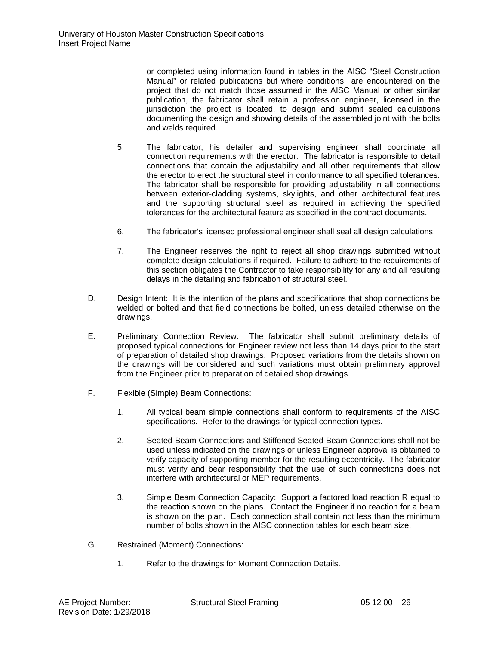or completed using information found in tables in the AISC "Steel Construction Manual" or related publications but where conditions are encountered on the project that do not match those assumed in the AISC Manual or other similar publication, the fabricator shall retain a profession engineer, licensed in the jurisdiction the project is located, to design and submit sealed calculations documenting the design and showing details of the assembled joint with the bolts and welds required.

- 5. The fabricator, his detailer and supervising engineer shall coordinate all connection requirements with the erector. The fabricator is responsible to detail connections that contain the adjustability and all other requirements that allow the erector to erect the structural steel in conformance to all specified tolerances. The fabricator shall be responsible for providing adjustability in all connections between exterior-cladding systems, skylights, and other architectural features and the supporting structural steel as required in achieving the specified tolerances for the architectural feature as specified in the contract documents.
- 6. The fabricator's licensed professional engineer shall seal all design calculations.
- 7. The Engineer reserves the right to reject all shop drawings submitted without complete design calculations if required. Failure to adhere to the requirements of this section obligates the Contractor to take responsibility for any and all resulting delays in the detailing and fabrication of structural steel.
- D. Design Intent: It is the intention of the plans and specifications that shop connections be welded or bolted and that field connections be bolted, unless detailed otherwise on the drawings.
- E. Preliminary Connection Review: The fabricator shall submit preliminary details of proposed typical connections for Engineer review not less than 14 days prior to the start of preparation of detailed shop drawings. Proposed variations from the details shown on the drawings will be considered and such variations must obtain preliminary approval from the Engineer prior to preparation of detailed shop drawings.
- F. Flexible (Simple) Beam Connections:
	- 1. All typical beam simple connections shall conform to requirements of the AISC specifications. Refer to the drawings for typical connection types.
	- 2. Seated Beam Connections and Stiffened Seated Beam Connections shall not be used unless indicated on the drawings or unless Engineer approval is obtained to verify capacity of supporting member for the resulting eccentricity. The fabricator must verify and bear responsibility that the use of such connections does not interfere with architectural or MEP requirements.
	- 3. Simple Beam Connection Capacity: Support a factored load reaction R equal to the reaction shown on the plans. Contact the Engineer if no reaction for a beam is shown on the plan. Each connection shall contain not less than the minimum number of bolts shown in the AISC connection tables for each beam size.
- G. Restrained (Moment) Connections:
	- 1. Refer to the drawings for Moment Connection Details.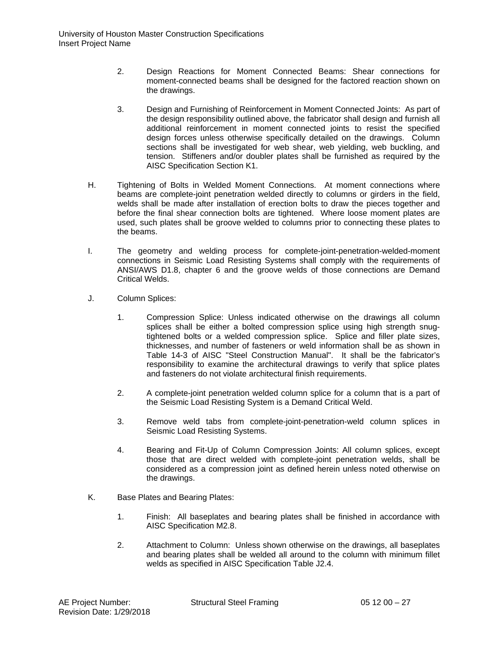- 2. Design Reactions for Moment Connected Beams: Shear connections for moment-connected beams shall be designed for the factored reaction shown on the drawings.
- 3. Design and Furnishing of Reinforcement in Moment Connected Joints: As part of the design responsibility outlined above, the fabricator shall design and furnish all additional reinforcement in moment connected joints to resist the specified design forces unless otherwise specifically detailed on the drawings. Column sections shall be investigated for web shear, web yielding, web buckling, and tension. Stiffeners and/or doubler plates shall be furnished as required by the AISC Specification Section K1.
- H. Tightening of Bolts in Welded Moment Connections. At moment connections where beams are complete-joint penetration welded directly to columns or girders in the field, welds shall be made after installation of erection bolts to draw the pieces together and before the final shear connection bolts are tightened. Where loose moment plates are used, such plates shall be groove welded to columns prior to connecting these plates to the beams.
- I. The geometry and welding process for complete-joint-penetration-welded-moment connections in Seismic Load Resisting Systems shall comply with the requirements of ANSI/AWS D1.8, chapter 6 and the groove welds of those connections are Demand Critical Welds.
- J. Column Splices:
	- 1. Compression Splice: Unless indicated otherwise on the drawings all column splices shall be either a bolted compression splice using high strength snugtightened bolts or a welded compression splice. Splice and filler plate sizes, thicknesses, and number of fasteners or weld information shall be as shown in Table 14-3 of AISC "Steel Construction Manual". It shall be the fabricator's responsibility to examine the architectural drawings to verify that splice plates and fasteners do not violate architectural finish requirements.
	- 2. A complete-joint penetration welded column splice for a column that is a part of the Seismic Load Resisting System is a Demand Critical Weld.
	- 3. Remove weld tabs from complete-joint-penetration-weld column splices in Seismic Load Resisting Systems.
	- 4. Bearing and Fit-Up of Column Compression Joints: All column splices, except those that are direct welded with complete-joint penetration welds, shall be considered as a compression joint as defined herein unless noted otherwise on the drawings.
- K. Base Plates and Bearing Plates:
	- 1. Finish: All baseplates and bearing plates shall be finished in accordance with AISC Specification M2.8.
	- 2. Attachment to Column: Unless shown otherwise on the drawings, all baseplates and bearing plates shall be welded all around to the column with minimum fillet welds as specified in AISC Specification Table J2.4.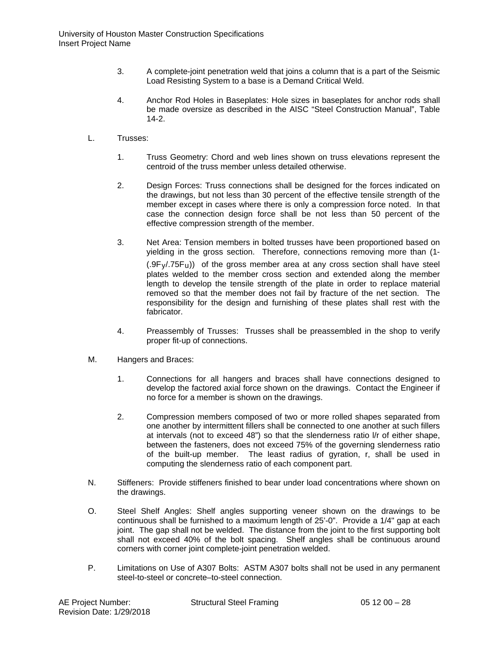- 3. A complete-joint penetration weld that joins a column that is a part of the Seismic Load Resisting System to a base is a Demand Critical Weld.
- 4. Anchor Rod Holes in Baseplates: Hole sizes in baseplates for anchor rods shall be made oversize as described in the AISC "Steel Construction Manual", Table 14-2.
- L. Trusses:
	- 1. Truss Geometry: Chord and web lines shown on truss elevations represent the centroid of the truss member unless detailed otherwise.
	- 2. Design Forces: Truss connections shall be designed for the forces indicated on the drawings, but not less than 30 percent of the effective tensile strength of the member except in cases where there is only a compression force noted. In that case the connection design force shall be not less than 50 percent of the effective compression strength of the member.
	- 3. Net Area: Tension members in bolted trusses have been proportioned based on yielding in the gross section. Therefore, connections removing more than (1-  $(.9F<sub>V</sub>75F<sub>u</sub>)$  of the gross member area at any cross section shall have steel plates welded to the member cross section and extended along the member length to develop the tensile strength of the plate in order to replace material removed so that the member does not fail by fracture of the net section. The responsibility for the design and furnishing of these plates shall rest with the fabricator.
	- 4. Preassembly of Trusses: Trusses shall be preassembled in the shop to verify proper fit-up of connections.
- M. Hangers and Braces:
	- 1. Connections for all hangers and braces shall have connections designed to develop the factored axial force shown on the drawings. Contact the Engineer if no force for a member is shown on the drawings.
	- 2. Compression members composed of two or more rolled shapes separated from one another by intermittent fillers shall be connected to one another at such fillers at intervals (not to exceed 48") so that the slenderness ratio l/r of either shape, between the fasteners, does not exceed 75% of the governing slenderness ratio of the built-up member. The least radius of gyration, r, shall be used in computing the slenderness ratio of each component part.
- N. Stiffeners: Provide stiffeners finished to bear under load concentrations where shown on the drawings.
- O. Steel Shelf Angles: Shelf angles supporting veneer shown on the drawings to be continuous shall be furnished to a maximum length of 25'-0". Provide a 1/4" gap at each joint. The gap shall not be welded. The distance from the joint to the first supporting bolt shall not exceed 40% of the bolt spacing. Shelf angles shall be continuous around corners with corner joint complete-joint penetration welded.
- P. Limitations on Use of A307 Bolts: ASTM A307 bolts shall not be used in any permanent steel-to-steel or concrete–to-steel connection.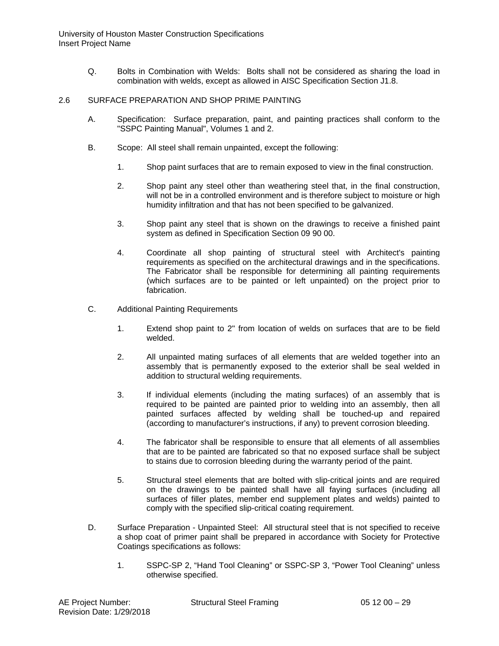Q. Bolts in Combination with Welds: Bolts shall not be considered as sharing the load in combination with welds, except as allowed in AISC Specification Section J1.8.

#### 2.6 SURFACE PREPARATION AND SHOP PRIME PAINTING

- A. Specification: Surface preparation, paint, and painting practices shall conform to the "SSPC Painting Manual", Volumes 1 and 2.
- B. Scope: All steel shall remain unpainted, except the following:
	- 1. Shop paint surfaces that are to remain exposed to view in the final construction.
	- 2. Shop paint any steel other than weathering steel that, in the final construction, will not be in a controlled environment and is therefore subject to moisture or high humidity infiltration and that has not been specified to be galvanized.
	- 3. Shop paint any steel that is shown on the drawings to receive a finished paint system as defined in Specification Section 09 90 00.
	- 4. Coordinate all shop painting of structural steel with Architect's painting requirements as specified on the architectural drawings and in the specifications. The Fabricator shall be responsible for determining all painting requirements (which surfaces are to be painted or left unpainted) on the project prior to fabrication.
- C. Additional Painting Requirements
	- 1. Extend shop paint to 2" from location of welds on surfaces that are to be field welded.
	- 2. All unpainted mating surfaces of all elements that are welded together into an assembly that is permanently exposed to the exterior shall be seal welded in addition to structural welding requirements.
	- 3. If individual elements (including the mating surfaces) of an assembly that is required to be painted are painted prior to welding into an assembly, then all painted surfaces affected by welding shall be touched-up and repaired (according to manufacturer's instructions, if any) to prevent corrosion bleeding.
	- 4. The fabricator shall be responsible to ensure that all elements of all assemblies that are to be painted are fabricated so that no exposed surface shall be subject to stains due to corrosion bleeding during the warranty period of the paint.
	- 5. Structural steel elements that are bolted with slip-critical joints and are required on the drawings to be painted shall have all faying surfaces (including all surfaces of filler plates, member end supplement plates and welds) painted to comply with the specified slip-critical coating requirement.
- D. Surface Preparation Unpainted Steel: All structural steel that is not specified to receive a shop coat of primer paint shall be prepared in accordance with Society for Protective Coatings specifications as follows:
	- 1. SSPC-SP 2, "Hand Tool Cleaning" or SSPC-SP 3, "Power Tool Cleaning" unless otherwise specified.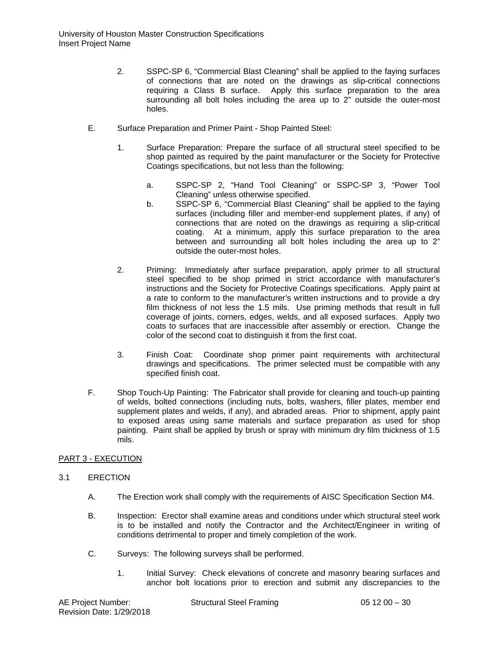- 2. SSPC-SP 6, "Commercial Blast Cleaning" shall be applied to the faying surfaces of connections that are noted on the drawings as slip-critical connections requiring a Class B surface. Apply this surface preparation to the area surrounding all bolt holes including the area up to 2" outside the outer-most holes.
- E. Surface Preparation and Primer Paint Shop Painted Steel:
	- 1. Surface Preparation: Prepare the surface of all structural steel specified to be shop painted as required by the paint manufacturer or the Society for Protective Coatings specifications, but not less than the following:
		- a. SSPC-SP 2, "Hand Tool Cleaning" or SSPC-SP 3, "Power Tool Cleaning" unless otherwise specified.
		- b. SSPC-SP 6, "Commercial Blast Cleaning" shall be applied to the faying surfaces (including filler and member-end supplement plates, if any) of connections that are noted on the drawings as requiring a slip-critical coating. At a minimum, apply this surface preparation to the area between and surrounding all bolt holes including the area up to 2" outside the outer-most holes.
	- 2. Priming: Immediately after surface preparation, apply primer to all structural steel specified to be shop primed in strict accordance with manufacturer's instructions and the Society for Protective Coatings specifications. Apply paint at a rate to conform to the manufacturer's written instructions and to provide a dry film thickness of not less the 1.5 mils. Use priming methods that result in full coverage of joints, corners, edges, welds, and all exposed surfaces. Apply two coats to surfaces that are inaccessible after assembly or erection. Change the color of the second coat to distinguish it from the first coat.
	- 3. Finish Coat: Coordinate shop primer paint requirements with architectural drawings and specifications. The primer selected must be compatible with any specified finish coat.
- F. Shop Touch-Up Painting: The Fabricator shall provide for cleaning and touch-up painting of welds, bolted connections (including nuts, bolts, washers, filler plates, member end supplement plates and welds, if any), and abraded areas. Prior to shipment, apply paint to exposed areas using same materials and surface preparation as used for shop painting. Paint shall be applied by brush or spray with minimum dry film thickness of 1.5 mils.

# PART 3 - EXECUTION

#### 3.1 ERECTION

- A. The Erection work shall comply with the requirements of AISC Specification Section M4.
- B. Inspection: Erector shall examine areas and conditions under which structural steel work is to be installed and notify the Contractor and the Architect/Engineer in writing of conditions detrimental to proper and timely completion of the work.
- C. Surveys: The following surveys shall be performed.
	- 1. Initial Survey: Check elevations of concrete and masonry bearing surfaces and anchor bolt locations prior to erection and submit any discrepancies to the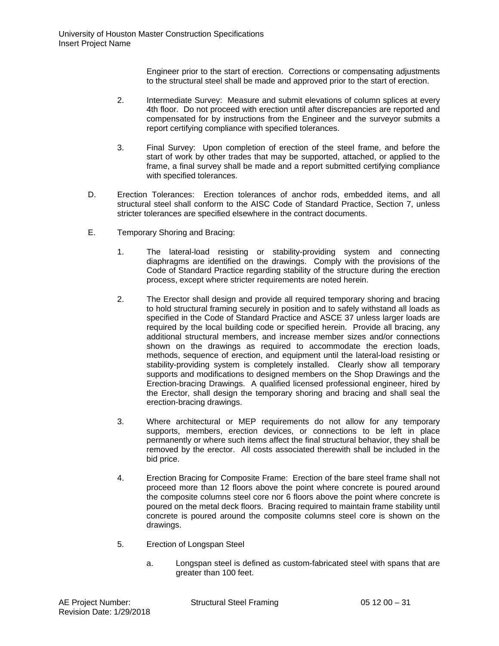Engineer prior to the start of erection. Corrections or compensating adjustments to the structural steel shall be made and approved prior to the start of erection.

- 2. Intermediate Survey: Measure and submit elevations of column splices at every 4th floor. Do not proceed with erection until after discrepancies are reported and compensated for by instructions from the Engineer and the surveyor submits a report certifying compliance with specified tolerances.
- 3. Final Survey: Upon completion of erection of the steel frame, and before the start of work by other trades that may be supported, attached, or applied to the frame, a final survey shall be made and a report submitted certifying compliance with specified tolerances.
- D. Erection Tolerances: Erection tolerances of anchor rods, embedded items, and all structural steel shall conform to the AISC Code of Standard Practice, Section 7, unless stricter tolerances are specified elsewhere in the contract documents.
- E. Temporary Shoring and Bracing:
	- 1. The lateral-load resisting or stability-providing system and connecting diaphragms are identified on the drawings. Comply with the provisions of the Code of Standard Practice regarding stability of the structure during the erection process, except where stricter requirements are noted herein.
	- 2. The Erector shall design and provide all required temporary shoring and bracing to hold structural framing securely in position and to safely withstand all loads as specified in the Code of Standard Practice and ASCE 37 unless larger loads are required by the local building code or specified herein. Provide all bracing, any additional structural members, and increase member sizes and/or connections shown on the drawings as required to accommodate the erection loads, methods, sequence of erection, and equipment until the lateral-load resisting or stability-providing system is completely installed. Clearly show all temporary supports and modifications to designed members on the Shop Drawings and the Erection-bracing Drawings. A qualified licensed professional engineer, hired by the Erector, shall design the temporary shoring and bracing and shall seal the erection-bracing drawings.
	- 3. Where architectural or MEP requirements do not allow for any temporary supports, members, erection devices, or connections to be left in place permanently or where such items affect the final structural behavior, they shall be removed by the erector. All costs associated therewith shall be included in the bid price.
	- 4. Erection Bracing for Composite Frame: Erection of the bare steel frame shall not proceed more than 12 floors above the point where concrete is poured around the composite columns steel core nor 6 floors above the point where concrete is poured on the metal deck floors. Bracing required to maintain frame stability until concrete is poured around the composite columns steel core is shown on the drawings.
	- 5. Erection of Longspan Steel
		- a. Longspan steel is defined as custom-fabricated steel with spans that are greater than 100 feet.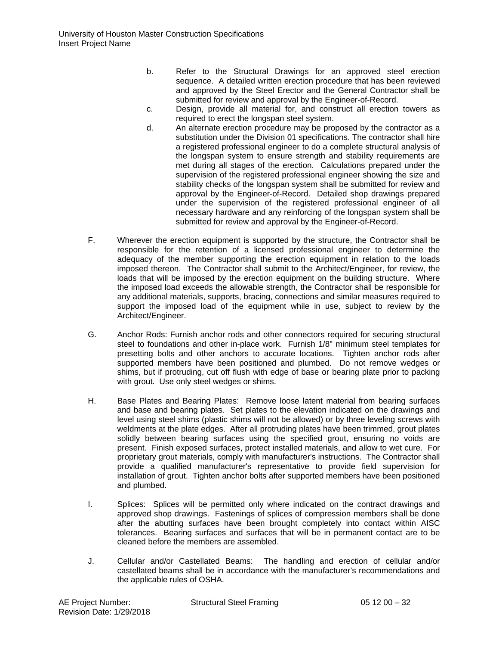- b. Refer to the Structural Drawings for an approved steel erection sequence. A detailed written erection procedure that has been reviewed and approved by the Steel Erector and the General Contractor shall be submitted for review and approval by the Engineer-of-Record.
- c. Design, provide all material for, and construct all erection towers as required to erect the longspan steel system.
- d. An alternate erection procedure may be proposed by the contractor as a substitution under the Division 01 specifications. The contractor shall hire a registered professional engineer to do a complete structural analysis of the longspan system to ensure strength and stability requirements are met during all stages of the erection. Calculations prepared under the supervision of the registered professional engineer showing the size and stability checks of the longspan system shall be submitted for review and approval by the Engineer-of-Record. Detailed shop drawings prepared under the supervision of the registered professional engineer of all necessary hardware and any reinforcing of the longspan system shall be submitted for review and approval by the Engineer-of-Record.
- F. Wherever the erection equipment is supported by the structure, the Contractor shall be responsible for the retention of a licensed professional engineer to determine the adequacy of the member supporting the erection equipment in relation to the loads imposed thereon. The Contractor shall submit to the Architect/Engineer, for review, the loads that will be imposed by the erection equipment on the building structure. Where the imposed load exceeds the allowable strength, the Contractor shall be responsible for any additional materials, supports, bracing, connections and similar measures required to support the imposed load of the equipment while in use, subject to review by the Architect/Engineer.
- G. Anchor Rods: Furnish anchor rods and other connectors required for securing structural steel to foundations and other in-place work. Furnish 1/8" minimum steel templates for presetting bolts and other anchors to accurate locations. Tighten anchor rods after supported members have been positioned and plumbed. Do not remove wedges or shims, but if protruding, cut off flush with edge of base or bearing plate prior to packing with grout. Use only steel wedges or shims.
- H. Base Plates and Bearing Plates: Remove loose latent material from bearing surfaces and base and bearing plates. Set plates to the elevation indicated on the drawings and level using steel shims (plastic shims will not be allowed) or by three leveling screws with weldments at the plate edges. After all protruding plates have been trimmed, grout plates solidly between bearing surfaces using the specified grout, ensuring no voids are present. Finish exposed surfaces, protect installed materials, and allow to wet cure. For proprietary grout materials, comply with manufacturer's instructions. The Contractor shall provide a qualified manufacturer's representative to provide field supervision for installation of grout. Tighten anchor bolts after supported members have been positioned and plumbed.
- I. Splices: Splices will be permitted only where indicated on the contract drawings and approved shop drawings. Fastenings of splices of compression members shall be done after the abutting surfaces have been brought completely into contact within AISC tolerances. Bearing surfaces and surfaces that will be in permanent contact are to be cleaned before the members are assembled.
- J. Cellular and/or Castellated Beams: The handling and erection of cellular and/or castellated beams shall be in accordance with the manufacturer's recommendations and the applicable rules of OSHA.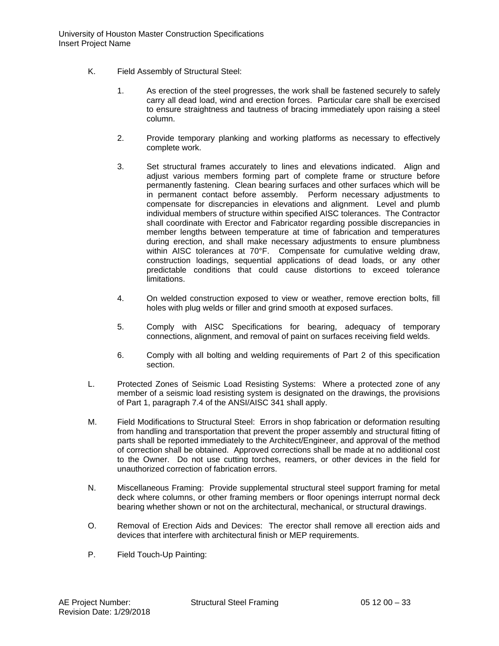- K. Field Assembly of Structural Steel:
	- 1. As erection of the steel progresses, the work shall be fastened securely to safely carry all dead load, wind and erection forces. Particular care shall be exercised to ensure straightness and tautness of bracing immediately upon raising a steel column.
	- 2. Provide temporary planking and working platforms as necessary to effectively complete work.
	- 3. Set structural frames accurately to lines and elevations indicated. Align and adjust various members forming part of complete frame or structure before permanently fastening. Clean bearing surfaces and other surfaces which will be in permanent contact before assembly. Perform necessary adjustments to compensate for discrepancies in elevations and alignment. Level and plumb individual members of structure within specified AISC tolerances. The Contractor shall coordinate with Erector and Fabricator regarding possible discrepancies in member lengths between temperature at time of fabrication and temperatures during erection, and shall make necessary adjustments to ensure plumbness within AISC tolerances at 70°F. Compensate for cumulative welding draw, construction loadings, sequential applications of dead loads, or any other predictable conditions that could cause distortions to exceed tolerance limitations.
	- 4. On welded construction exposed to view or weather, remove erection bolts, fill holes with plug welds or filler and grind smooth at exposed surfaces.
	- 5. Comply with AISC Specifications for bearing, adequacy of temporary connections, alignment, and removal of paint on surfaces receiving field welds.
	- 6. Comply with all bolting and welding requirements of Part 2 of this specification section.
- L. Protected Zones of Seismic Load Resisting Systems: Where a protected zone of any member of a seismic load resisting system is designated on the drawings, the provisions of Part 1, paragraph 7.4 of the ANSI/AISC 341 shall apply.
- M. Field Modifications to Structural Steel: Errors in shop fabrication or deformation resulting from handling and transportation that prevent the proper assembly and structural fitting of parts shall be reported immediately to the Architect/Engineer, and approval of the method of correction shall be obtained. Approved corrections shall be made at no additional cost to the Owner. Do not use cutting torches, reamers, or other devices in the field for unauthorized correction of fabrication errors.
- N. Miscellaneous Framing: Provide supplemental structural steel support framing for metal deck where columns, or other framing members or floor openings interrupt normal deck bearing whether shown or not on the architectural, mechanical, or structural drawings.
- O. Removal of Erection Aids and Devices: The erector shall remove all erection aids and devices that interfere with architectural finish or MEP requirements.
- P. Field Touch-Up Painting: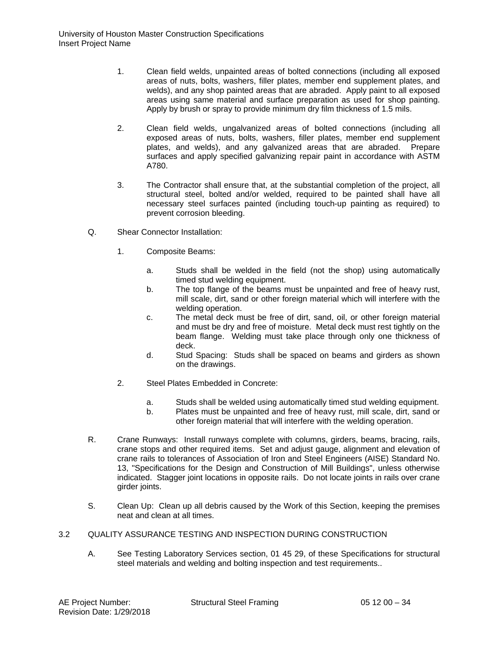- 1. Clean field welds, unpainted areas of bolted connections (including all exposed areas of nuts, bolts, washers, filler plates, member end supplement plates, and welds), and any shop painted areas that are abraded. Apply paint to all exposed areas using same material and surface preparation as used for shop painting. Apply by brush or spray to provide minimum dry film thickness of 1.5 mils.
- 2. Clean field welds, ungalvanized areas of bolted connections (including all exposed areas of nuts, bolts, washers, filler plates, member end supplement plates, and welds), and any galvanized areas that are abraded. Prepare surfaces and apply specified galvanizing repair paint in accordance with ASTM A780.
- 3. The Contractor shall ensure that, at the substantial completion of the project, all structural steel, bolted and/or welded, required to be painted shall have all necessary steel surfaces painted (including touch-up painting as required) to prevent corrosion bleeding.
- Q. Shear Connector Installation:
	- 1. Composite Beams:
		- a. Studs shall be welded in the field (not the shop) using automatically timed stud welding equipment.
		- b. The top flange of the beams must be unpainted and free of heavy rust, mill scale, dirt, sand or other foreign material which will interfere with the welding operation.
		- c. The metal deck must be free of dirt, sand, oil, or other foreign material and must be dry and free of moisture. Metal deck must rest tightly on the beam flange. Welding must take place through only one thickness of deck.
		- d. Stud Spacing: Studs shall be spaced on beams and girders as shown on the drawings.
	- 2. Steel Plates Embedded in Concrete:
		- a. Studs shall be welded using automatically timed stud welding equipment.
		- b. Plates must be unpainted and free of heavy rust, mill scale, dirt, sand or other foreign material that will interfere with the welding operation.
- R. Crane Runways: Install runways complete with columns, girders, beams, bracing, rails, crane stops and other required items. Set and adjust gauge, alignment and elevation of crane rails to tolerances of Association of Iron and Steel Engineers (AISE) Standard No. 13, "Specifications for the Design and Construction of Mill Buildings", unless otherwise indicated. Stagger joint locations in opposite rails. Do not locate joints in rails over crane girder joints.
- S. Clean Up: Clean up all debris caused by the Work of this Section, keeping the premises neat and clean at all times.

## 3.2 QUALITY ASSURANCE TESTING AND INSPECTION DURING CONSTRUCTION

A. See Testing Laboratory Services section, 01 45 29, of these Specifications for structural steel materials and welding and bolting inspection and test requirements..